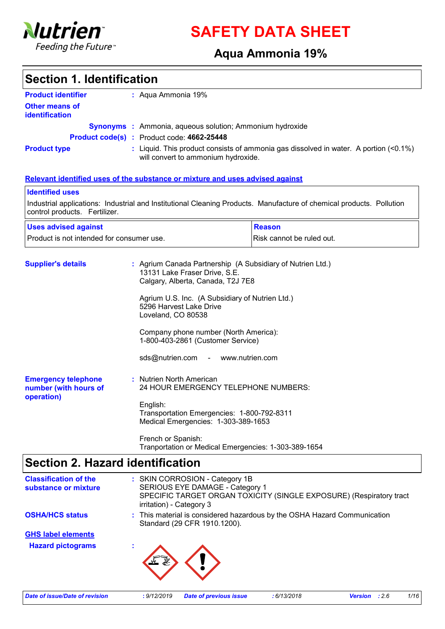

**SAFETY DATA SHEET**

## **Aqua Ammonia 19%**

٦

| <b>Section 1. Identification</b>                                  |                                                                                                                                                                      |                           |                                 |
|-------------------------------------------------------------------|----------------------------------------------------------------------------------------------------------------------------------------------------------------------|---------------------------|---------------------------------|
| <b>Product identifier</b>                                         | : Aqua Ammonia 19%                                                                                                                                                   |                           |                                 |
| Other means of                                                    |                                                                                                                                                                      |                           |                                 |
| identification                                                    |                                                                                                                                                                      |                           |                                 |
|                                                                   | <b>Synonyms:</b> Ammonia, aqueous solution; Ammonium hydroxide                                                                                                       |                           |                                 |
|                                                                   | <b>Product code(s) :</b> Product code: 4662-25448                                                                                                                    |                           |                                 |
| <b>Product type</b>                                               | : Liquid. This product consists of ammonia gas dissolved in water. A portion (<0.1%)<br>will convert to ammonium hydroxide.                                          |                           |                                 |
|                                                                   | Relevant identified uses of the substance or mixture and uses advised against                                                                                        |                           |                                 |
| <b>Identified uses</b>                                            |                                                                                                                                                                      |                           |                                 |
| control products. Fertilizer.                                     | Industrial applications: Industrial and Institutional Cleaning Products. Manufacture of chemical products. Pollution                                                 |                           |                                 |
| <b>Uses advised against</b>                                       |                                                                                                                                                                      | <b>Reason</b>             |                                 |
| Product is not intended for consumer use.                         |                                                                                                                                                                      | Risk cannot be ruled out. |                                 |
| <b>Supplier's details</b>                                         | : Agrium Canada Partnership (A Subsidiary of Nutrien Ltd.)<br>13131 Lake Fraser Drive, S.E.<br>Calgary, Alberta, Canada, T2J 7E8                                     |                           |                                 |
|                                                                   | Agrium U.S. Inc. (A Subsidiary of Nutrien Ltd.)<br>5296 Harvest Lake Drive<br>Loveland, CO 80538                                                                     |                           |                                 |
|                                                                   | Company phone number (North America):<br>1-800-403-2861 (Customer Service)                                                                                           |                           |                                 |
|                                                                   | sds@nutrien.com - www.nutrien.com                                                                                                                                    |                           |                                 |
| <b>Emergency telephone</b><br>number (with hours of<br>operation) | : Nutrien North American<br>24 HOUR EMERGENCY TELEPHONE NUMBERS:                                                                                                     |                           |                                 |
|                                                                   | English:<br>Transportation Emergencies: 1-800-792-8311<br>Medical Emergencies: 1-303-389-1653                                                                        |                           |                                 |
|                                                                   | French or Spanish:<br>Tranportation or Medical Emergencies: 1-303-389-1654                                                                                           |                           |                                 |
| <b>Section 2. Hazard identification</b>                           |                                                                                                                                                                      |                           |                                 |
| <b>Classification of the</b><br>substance or mixture              | : SKIN CORROSION - Category 1B<br>SERIOUS EYE DAMAGE - Category 1<br>SPECIFIC TARGET ORGAN TOXICITY (SINGLE EXPOSURE) (Respiratory tract<br>irritation) - Category 3 |                           |                                 |
| <b>OSHA/HCS status</b>                                            | This material is considered hazardous by the OSHA Hazard Communication<br>Standard (29 CFR 1910.1200).                                                               |                           |                                 |
| <b>GHS label elements</b>                                         |                                                                                                                                                                      |                           |                                 |
| <b>Hazard pictograms</b>                                          |                                                                                                                                                                      |                           |                                 |
| <b>Date of issue/Date of revision</b>                             | : 9/12/2019<br><b>Date of previous issue</b>                                                                                                                         | : 6/13/2018               | <b>Version</b><br>: 2.6<br>1/16 |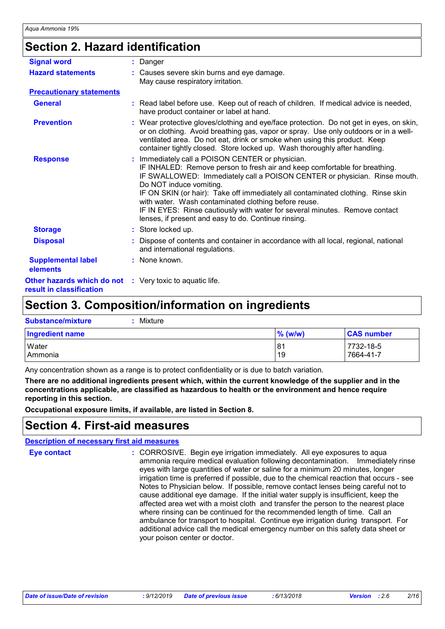## **Section 2. Hazard identification**

| : Read label before use. Keep out of reach of children. If medical advice is needed,<br>have product container or label at hand.                                                                                                                                                                                                           |  |  |
|--------------------------------------------------------------------------------------------------------------------------------------------------------------------------------------------------------------------------------------------------------------------------------------------------------------------------------------------|--|--|
| : Wear protective gloves/clothing and eye/face protection. Do not get in eyes, on skin,<br>or on clothing. Avoid breathing gas, vapor or spray. Use only outdoors or in a well-<br>ventilated area. Do not eat, drink or smoke when using this product. Keep<br>container tightly closed. Store locked up. Wash thoroughly after handling. |  |  |
| IF INHALED: Remove person to fresh air and keep comfortable for breathing.<br>IF SWALLOWED: Immediately call a POISON CENTER or physician. Rinse mouth.<br>IF ON SKIN (or hair): Take off immediately all contaminated clothing. Rinse skin<br>IF IN EYES: Rinse cautiously with water for several minutes. Remove contact                 |  |  |
|                                                                                                                                                                                                                                                                                                                                            |  |  |
| : Dispose of contents and container in accordance with all local, regional, national                                                                                                                                                                                                                                                       |  |  |
|                                                                                                                                                                                                                                                                                                                                            |  |  |
|                                                                                                                                                                                                                                                                                                                                            |  |  |
|                                                                                                                                                                                                                                                                                                                                            |  |  |

### **Section 3. Composition/information on ingredients**

| <b>Substance/mixture</b><br>Mixture |                |                   |
|-------------------------------------|----------------|-------------------|
| <b>Ingredient name</b>              | $%$ (w/w)      | <b>CAS number</b> |
| Water                               | 8 <sup>1</sup> | 7732-18-5         |
| l Ammonia                           | 19             | 7664-41-7         |

Any concentration shown as a range is to protect confidentiality or is due to batch variation.

**There are no additional ingredients present which, within the current knowledge of the supplier and in the concentrations applicable, are classified as hazardous to health or the environment and hence require reporting in this section.**

**Occupational exposure limits, if available, are listed in Section 8.**

### **Section 4. First-aid measures**

### **Description of necessary first aid measures**

| <b>Eye contact</b> | : CORROSIVE. Begin eye irrigation immediately. All eye exposures to agua<br>ammonia require medical evaluation following decontamination. Immediately rinse<br>eyes with large quantities of water or saline for a minimum 20 minutes, longer<br>irrigation time is preferred if possible, due to the chemical reaction that occurs - see                                                                                                                                                                                                             |
|--------------------|-------------------------------------------------------------------------------------------------------------------------------------------------------------------------------------------------------------------------------------------------------------------------------------------------------------------------------------------------------------------------------------------------------------------------------------------------------------------------------------------------------------------------------------------------------|
|                    | Notes to Physician below. If possible, remove contact lenses being careful not to<br>cause additional eye damage. If the initial water supply is insufficient, keep the<br>affected area wet with a moist cloth and transfer the person to the nearest place<br>where rinsing can be continued for the recommended length of time. Call an<br>ambulance for transport to hospital. Continue eye irrigation during transport. For<br>additional advice call the medical emergency number on this safety data sheet or<br>your poison center or doctor. |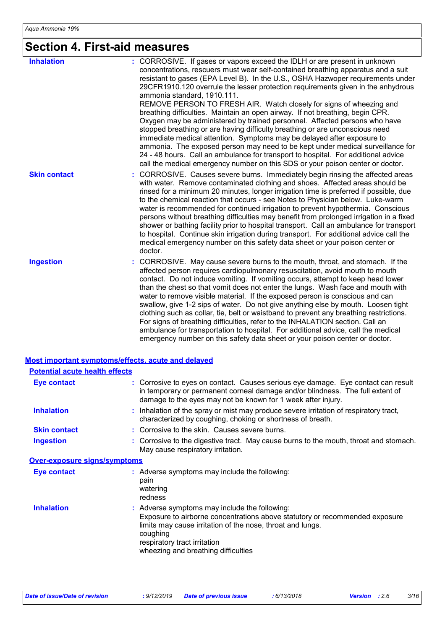## **Section 4. First-aid measures**

| <b>Inhalation</b>   | CORROSIVE. If gases or vapors exceed the IDLH or are present in unknown<br>concentrations, rescuers must wear self-contained breathing apparatus and a suit<br>resistant to gases (EPA Level B). In the U.S., OSHA Hazwoper requirements under<br>29CFR1910.120 overrule the lesser protection requirements given in the anhydrous<br>ammonia standard, 1910.111.<br>REMOVE PERSON TO FRESH AIR. Watch closely for signs of wheezing and<br>breathing difficulties. Maintain an open airway. If not breathing, begin CPR.<br>Oxygen may be administered by trained personnel. Affected persons who have<br>stopped breathing or are having difficulty breathing or are unconscious need<br>immediate medical attention. Symptoms may be delayed after exposure to<br>ammonia. The exposed person may need to be kept under medical surveillance for<br>24 - 48 hours. Call an ambulance for transport to hospital. For additional advice<br>call the medical emergency number on this SDS or your poison center or doctor. |
|---------------------|----------------------------------------------------------------------------------------------------------------------------------------------------------------------------------------------------------------------------------------------------------------------------------------------------------------------------------------------------------------------------------------------------------------------------------------------------------------------------------------------------------------------------------------------------------------------------------------------------------------------------------------------------------------------------------------------------------------------------------------------------------------------------------------------------------------------------------------------------------------------------------------------------------------------------------------------------------------------------------------------------------------------------|
| <b>Skin contact</b> | CORROSIVE. Causes severe burns. Immediately begin rinsing the affected areas<br>with water. Remove contaminated clothing and shoes. Affected areas should be<br>rinsed for a minimum 20 minutes, longer irrigation time is preferred if possible, due<br>to the chemical reaction that occurs - see Notes to Physician below. Luke-warm<br>water is recommended for continued irrigation to prevent hypothermia. Conscious<br>persons without breathing difficulties may benefit from prolonged irrigation in a fixed<br>shower or bathing facility prior to hospital transport. Call an ambulance for transport<br>to hospital. Continue skin irrigation during transport. For additional advice call the<br>medical emergency number on this safety data sheet or your poison center or<br>doctor.                                                                                                                                                                                                                       |
| <b>Ingestion</b>    | : CORROSIVE. May cause severe burns to the mouth, throat, and stomach. If the<br>affected person requires cardiopulmonary resuscitation, avoid mouth to mouth<br>contact. Do not induce vomiting. If vomiting occurs, attempt to keep head lower<br>than the chest so that vomit does not enter the lungs. Wash face and mouth with<br>water to remove visible material. If the exposed person is conscious and can<br>swallow, give 1-2 sips of water. Do not give anything else by mouth. Loosen tight<br>clothing such as collar, tie, belt or waistband to prevent any breathing restrictions.<br>For signs of breathing difficulties, refer to the INHALATION section. Call an<br>ambulance for transportation to hospital. For additional advice, call the medical<br>emergency number on this safety data sheet or your poison center or doctor.                                                                                                                                                                    |

#### **Most important symptoms/effects, acute and delayed Inhalation <b>:** Inhalation of the spray or mist may produce severe irritation of respiratory tract, characterized by coughing, choking or shortness of breath. Corrosive to the digestive tract. May cause burns to the mouth, throat and stomach. May cause respiratory irritation. **Ingestion : Skin contact :** Corrosive to the skin. Causes severe burns. Corrosive to eyes on contact. Causes serious eye damage. Eye contact can result in temporary or permanent corneal damage and/or blindness. The full extent of damage to the eyes may not be known for 1 week after injury. **Eye contact : Over-exposure signs/symptoms Inhalation Adverse symptoms may include the following:**  $\blacksquare$ Exposure to airborne concentrations above statutory or recommended exposure limits may cause irritation of the nose, throat and lungs. coughing respiratory tract irritation **Eye contact :** Adverse symptoms may include the following: pain watering redness **Potential acute health effects**

wheezing and breathing difficulties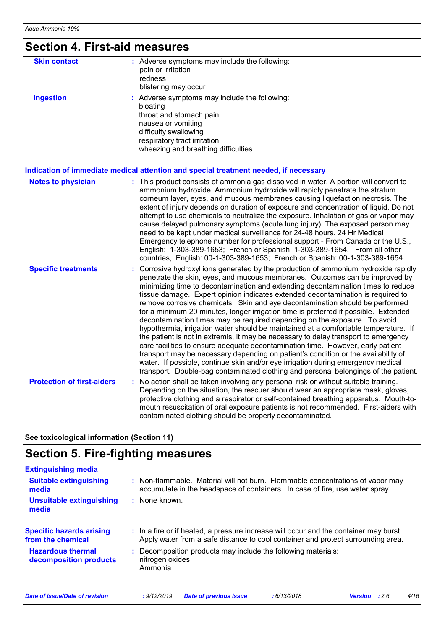### **Section 4. First-aid measures**

| <b>Skin contact</b>        | : Adverse symptoms may include the following:<br>pain or irritation<br>redness                                                                                                                                                                                                                                                                                                                                                                                                                                                                                                                                                                                                                                                                                                                                                                |
|----------------------------|-----------------------------------------------------------------------------------------------------------------------------------------------------------------------------------------------------------------------------------------------------------------------------------------------------------------------------------------------------------------------------------------------------------------------------------------------------------------------------------------------------------------------------------------------------------------------------------------------------------------------------------------------------------------------------------------------------------------------------------------------------------------------------------------------------------------------------------------------|
|                            | blistering may occur                                                                                                                                                                                                                                                                                                                                                                                                                                                                                                                                                                                                                                                                                                                                                                                                                          |
| <b>Ingestion</b>           | : Adverse symptoms may include the following:<br>bloating<br>throat and stomach pain<br>nausea or vomiting<br>difficulty swallowing<br>respiratory tract irritation<br>wheezing and breathing difficulties                                                                                                                                                                                                                                                                                                                                                                                                                                                                                                                                                                                                                                    |
|                            | <u>Indication of immediate medical attention and special treatment needed, if necessary</u>                                                                                                                                                                                                                                                                                                                                                                                                                                                                                                                                                                                                                                                                                                                                                   |
| <b>Notes to physician</b>  | : This product consists of ammonia gas dissolved in water. A portion will convert to<br>ammonium hydroxide. Ammonium hydroxide will rapidly penetrate the stratum<br>corneum layer, eyes, and mucous membranes causing liquefaction necrosis. The<br>extent of injury depends on duration of exposure and concentration of liquid. Do not<br>attempt to use chemicals to neutralize the exposure. Inhalation of gas or vapor may<br>cause delayed pulmonary symptoms (acute lung injury). The exposed person may<br>need to be kept under medical surveillance for 24-48 hours. 24 Hr Medical<br>Emergency telephone number for professional support - From Canada or the U.S.,<br>English: 1-303-389-1653; French or Spanish: 1-303-389-1654. From all other<br>countries, English: 00-1-303-389-1653; French or Spanish: 00-1-303-389-1654. |
| <b>Specific treatments</b> | : Corrosive hydroxyl ions generated by the production of ammonium hydroxide rapidly<br>penetrate the skin, eyes, and mucous membranes. Outcomes can be improved by<br>minimizing time to decontamination and extending decontamination times to reduce<br>tissue damage. Expert opinion indicates extended decontamination is required to                                                                                                                                                                                                                                                                                                                                                                                                                                                                                                     |

protective clothing and a respirator or self-contained breathing apparatus. Mouth-tomouth resuscitation of oral exposure patients is not recommended. First-aiders with contaminated clothing should be properly decontaminated.

**Protection of first-aiders :** No action shall be taken involving any personal risk or without suitable training.

Depending on the situation, the rescuer should wear an appropriate mask, gloves,

remove corrosive chemicals. Skin and eye decontamination should be performed for a minimum 20 minutes, longer irrigation time is preferred if possible. Extended decontamination times may be required depending on the exposure. To avoid hypothermia, irrigation water should be maintained at a comfortable temperature. If the patient is not in extremis, it may be necessary to delay transport to emergency care facilities to ensure adequate decontamination time. However, early patient transport may be necessary depending on patient's condition or the availability of water. If possible, continue skin and/or eye irrigation during emergency medical transport. Double-bag contaminated clothing and personal belongings of the patient.

**See toxicological information (Section 11)**

## **Section 5. Fire-fighting measures**

| <b>Extinguishing media</b>                           |                                                                                                                                                                           |
|------------------------------------------------------|---------------------------------------------------------------------------------------------------------------------------------------------------------------------------|
| <b>Suitable extinguishing</b><br>media               | : Non-flammable. Material will not burn. Flammable concentrations of vapor may<br>accumulate in the headspace of containers. In case of fire, use water spray.            |
| <b>Unsuitable extinguishing</b><br>media             | : None known.                                                                                                                                                             |
| <b>Specific hazards arising</b><br>from the chemical | : In a fire or if heated, a pressure increase will occur and the container may burst.<br>Apply water from a safe distance to cool container and protect surrounding area. |
| <b>Hazardous thermal</b><br>decomposition products   | : Decomposition products may include the following materials:<br>nitrogen oxides<br>Ammonia                                                                               |
|                                                      |                                                                                                                                                                           |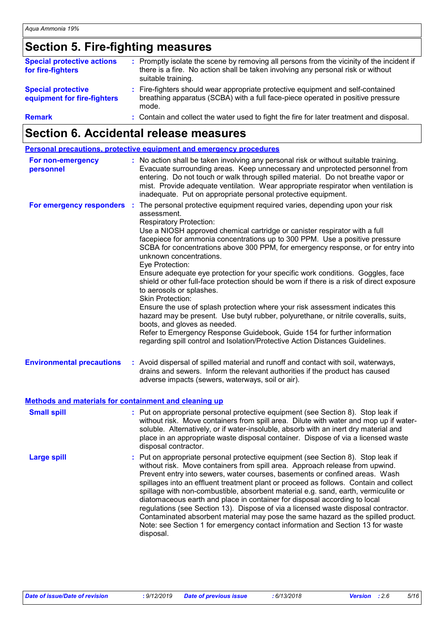## **Section 5. Fire-fighting measures**

| <b>Special protective actions</b><br>for fire-fighters   | : Promptly isolate the scene by removing all persons from the vicinity of the incident if<br>there is a fire. No action shall be taken involving any personal risk or without<br>suitable training. |
|----------------------------------------------------------|-----------------------------------------------------------------------------------------------------------------------------------------------------------------------------------------------------|
| <b>Special protective</b><br>equipment for fire-fighters | : Fire-fighters should wear appropriate protective equipment and self-contained<br>breathing apparatus (SCBA) with a full face-piece operated in positive pressure<br>mode.                         |
| <b>Remark</b>                                            | : Contain and collect the water used to fight the fire for later treatment and disposal.                                                                                                            |

## **Section 6. Accidental release measures**

|                                                       | <b>Personal precautions, protective equipment and emergency procedures</b>                                                                                                                                                                                                                                                                                                                                                                                                                                                                                                                                                                                                                                                                                                           |
|-------------------------------------------------------|--------------------------------------------------------------------------------------------------------------------------------------------------------------------------------------------------------------------------------------------------------------------------------------------------------------------------------------------------------------------------------------------------------------------------------------------------------------------------------------------------------------------------------------------------------------------------------------------------------------------------------------------------------------------------------------------------------------------------------------------------------------------------------------|
| For non-emergency<br>personnel                        | : No action shall be taken involving any personal risk or without suitable training.<br>Evacuate surrounding areas. Keep unnecessary and unprotected personnel from<br>entering. Do not touch or walk through spilled material. Do not breathe vapor or<br>mist. Provide adequate ventilation. Wear appropriate respirator when ventilation is<br>inadequate. Put on appropriate personal protective equipment.                                                                                                                                                                                                                                                                                                                                                                      |
| For emergency responders                              | The personal protective equipment required varies, depending upon your risk<br>assessment.<br><b>Respiratory Protection:</b><br>Use a NIOSH approved chemical cartridge or canister respirator with a full<br>facepiece for ammonia concentrations up to 300 PPM. Use a positive pressure<br>SCBA for concentrations above 300 PPM, for emergency response, or for entry into<br>unknown concentrations.<br>Eye Protection:<br>Ensure adequate eye protection for your specific work conditions. Goggles, face<br>shield or other full-face protection should be worn if there is a risk of direct exposure                                                                                                                                                                          |
|                                                       | to aerosols or splashes.<br><b>Skin Protection:</b><br>Ensure the use of splash protection where your risk assessment indicates this<br>hazard may be present. Use butyl rubber, polyurethane, or nitrile coveralls, suits,<br>boots, and gloves as needed.<br>Refer to Emergency Response Guidebook, Guide 154 for further information<br>regarding spill control and Isolation/Protective Action Distances Guidelines.                                                                                                                                                                                                                                                                                                                                                             |
| <b>Environmental precautions</b>                      | : Avoid dispersal of spilled material and runoff and contact with soil, waterways,<br>drains and sewers. Inform the relevant authorities if the product has caused<br>adverse impacts (sewers, waterways, soil or air).                                                                                                                                                                                                                                                                                                                                                                                                                                                                                                                                                              |
| Methods and materials for containment and cleaning up |                                                                                                                                                                                                                                                                                                                                                                                                                                                                                                                                                                                                                                                                                                                                                                                      |
| <b>Small spill</b>                                    | : Put on appropriate personal protective equipment (see Section 8). Stop leak if<br>without risk. Move containers from spill area. Dilute with water and mop up if water-<br>soluble. Alternatively, or if water-insoluble, absorb with an inert dry material and<br>place in an appropriate waste disposal container. Dispose of via a licensed waste<br>disposal contractor.                                                                                                                                                                                                                                                                                                                                                                                                       |
| <b>Large spill</b>                                    | : Put on appropriate personal protective equipment (see Section 8). Stop leak if<br>without risk. Move containers from spill area. Approach release from upwind.<br>Prevent entry into sewers, water courses, basements or confined areas. Wash<br>spillages into an effluent treatment plant or proceed as follows. Contain and collect<br>spillage with non-combustible, absorbent material e.g. sand, earth, vermiculite or<br>diatomaceous earth and place in container for disposal according to local<br>regulations (see Section 13). Dispose of via a licensed waste disposal contractor.<br>Contaminated absorbent material may pose the same hazard as the spilled product.<br>Note: see Section 1 for emergency contact information and Section 13 for waste<br>disposal. |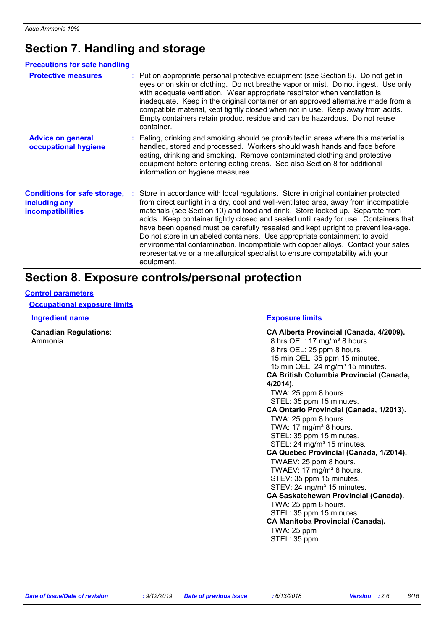## **Section 7. Handling and storage**

| <b>Precautions for safe handling</b>                                             |                                                                                                                                                                                                                                                                                                                                                                                                                                                                                                                                                                                                                                                                                                          |
|----------------------------------------------------------------------------------|----------------------------------------------------------------------------------------------------------------------------------------------------------------------------------------------------------------------------------------------------------------------------------------------------------------------------------------------------------------------------------------------------------------------------------------------------------------------------------------------------------------------------------------------------------------------------------------------------------------------------------------------------------------------------------------------------------|
| <b>Protective measures</b>                                                       | : Put on appropriate personal protective equipment (see Section 8). Do not get in                                                                                                                                                                                                                                                                                                                                                                                                                                                                                                                                                                                                                        |
|                                                                                  | eyes or on skin or clothing. Do not breathe vapor or mist. Do not ingest. Use only<br>with adequate ventilation. Wear appropriate respirator when ventilation is<br>inadequate. Keep in the original container or an approved alternative made from a<br>compatible material, kept tightly closed when not in use. Keep away from acids.<br>Empty containers retain product residue and can be hazardous. Do not reuse<br>container.                                                                                                                                                                                                                                                                     |
| <b>Advice on general</b><br>occupational hygiene                                 | : Eating, drinking and smoking should be prohibited in areas where this material is<br>handled, stored and processed. Workers should wash hands and face before<br>eating, drinking and smoking. Remove contaminated clothing and protective<br>equipment before entering eating areas. See also Section 8 for additional<br>information on hygiene measures.                                                                                                                                                                                                                                                                                                                                            |
| <b>Conditions for safe storage,</b><br>including any<br><b>incompatibilities</b> | Store in accordance with local regulations. Store in original container protected<br>from direct sunlight in a dry, cool and well-ventilated area, away from incompatible<br>materials (see Section 10) and food and drink. Store locked up. Separate from<br>acids. Keep container tightly closed and sealed until ready for use. Containers that<br>have been opened must be carefully resealed and kept upright to prevent leakage.<br>Do not store in unlabeled containers. Use appropriate containment to avoid<br>environmental contamination. Incompatible with copper alloys. Contact your sales<br>representative or a metallurgical specialist to ensure compatability with your<br>equipment. |

## **Section 8. Exposure controls/personal protection**

### **Control parameters**

**Occupational exposure limits**

| <b>Ingredient name</b>                  |             |                               | <b>Exposure limits</b>                                                                                                                                                                                                                                                                                                                                                                                                                                                                                                                                                                                                                                                                                                                                                                                                                                              |
|-----------------------------------------|-------------|-------------------------------|---------------------------------------------------------------------------------------------------------------------------------------------------------------------------------------------------------------------------------------------------------------------------------------------------------------------------------------------------------------------------------------------------------------------------------------------------------------------------------------------------------------------------------------------------------------------------------------------------------------------------------------------------------------------------------------------------------------------------------------------------------------------------------------------------------------------------------------------------------------------|
| <b>Canadian Regulations:</b><br>Ammonia |             |                               | CA Alberta Provincial (Canada, 4/2009).<br>8 hrs OEL: 17 mg/m <sup>3</sup> 8 hours.<br>8 hrs OEL: 25 ppm 8 hours.<br>15 min OEL: 35 ppm 15 minutes.<br>15 min OEL: 24 mg/m <sup>3</sup> 15 minutes.<br><b>CA British Columbia Provincial (Canada,</b><br>4/2014).<br>TWA: 25 ppm 8 hours.<br>STEL: 35 ppm 15 minutes.<br>CA Ontario Provincial (Canada, 1/2013).<br>TWA: 25 ppm 8 hours.<br>TWA: 17 mg/m <sup>3</sup> 8 hours.<br>STEL: 35 ppm 15 minutes.<br>STEL: 24 mg/m <sup>3</sup> 15 minutes.<br>CA Quebec Provincial (Canada, 1/2014).<br>TWAEV: 25 ppm 8 hours.<br>TWAEV: 17 mg/m <sup>3</sup> 8 hours.<br>STEV: 35 ppm 15 minutes.<br>STEV: 24 mg/m <sup>3</sup> 15 minutes.<br><b>CA Saskatchewan Provincial (Canada).</b><br>TWA: 25 ppm 8 hours.<br>STEL: 35 ppm 15 minutes.<br><b>CA Manitoba Provincial (Canada).</b><br>TWA: 25 ppm<br>STEL: 35 ppm |
| Date of issue/Date of revision          | : 9/12/2019 | <b>Date of previous issue</b> | : 6/13/2018<br>6/16<br>Version : 2.6                                                                                                                                                                                                                                                                                                                                                                                                                                                                                                                                                                                                                                                                                                                                                                                                                                |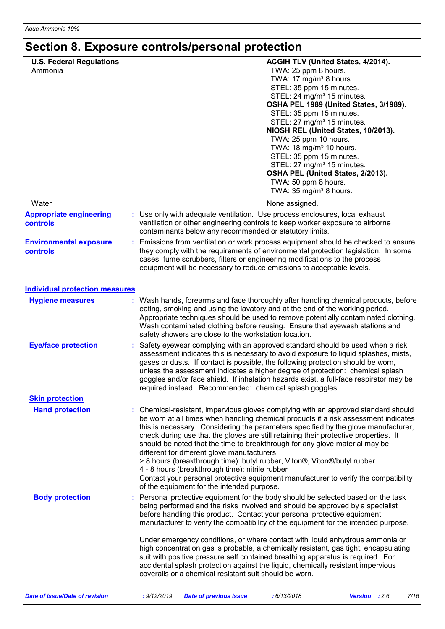## **Section 8. Exposure controls/personal protection**

| <b>U.S. Federal Regulations:</b>                  | ACGIH TLV (United States, 4/2014).                                                                                                                                                                                                                                                                                                                                                                                                                                                                                                                                                                                                                                                                                                                         |  |  |
|---------------------------------------------------|------------------------------------------------------------------------------------------------------------------------------------------------------------------------------------------------------------------------------------------------------------------------------------------------------------------------------------------------------------------------------------------------------------------------------------------------------------------------------------------------------------------------------------------------------------------------------------------------------------------------------------------------------------------------------------------------------------------------------------------------------------|--|--|
| Ammonia                                           | TWA: 25 ppm 8 hours.<br>TWA: 17 mg/m <sup>3</sup> 8 hours.<br>STEL: 35 ppm 15 minutes.<br>STEL: 24 mg/m <sup>3</sup> 15 minutes.<br>OSHA PEL 1989 (United States, 3/1989).<br>STEL: 35 ppm 15 minutes.<br>STEL: 27 mg/m <sup>3</sup> 15 minutes.<br>NIOSH REL (United States, 10/2013).<br>TWA: 25 ppm 10 hours.<br>TWA: 18 mg/m <sup>3</sup> 10 hours.<br>STEL: 35 ppm 15 minutes.<br>STEL: 27 mg/m <sup>3</sup> 15 minutes.<br>OSHA PEL (United States, 2/2013).<br>TWA: 50 ppm 8 hours.<br>TWA: 35 mg/m <sup>3</sup> 8 hours.                                                                                                                                                                                                                           |  |  |
| Water                                             | None assigned.                                                                                                                                                                                                                                                                                                                                                                                                                                                                                                                                                                                                                                                                                                                                             |  |  |
| <b>Appropriate engineering</b><br><b>controls</b> | : Use only with adequate ventilation. Use process enclosures, local exhaust<br>ventilation or other engineering controls to keep worker exposure to airborne<br>contaminants below any recommended or statutory limits.                                                                                                                                                                                                                                                                                                                                                                                                                                                                                                                                    |  |  |
| <b>Environmental exposure</b><br><b>controls</b>  | Emissions from ventilation or work process equipment should be checked to ensure<br>they comply with the requirements of environmental protection legislation. In some<br>cases, fume scrubbers, filters or engineering modifications to the process<br>equipment will be necessary to reduce emissions to acceptable levels.                                                                                                                                                                                                                                                                                                                                                                                                                              |  |  |
| <b>Individual protection measures</b>             |                                                                                                                                                                                                                                                                                                                                                                                                                                                                                                                                                                                                                                                                                                                                                            |  |  |
| <b>Hygiene measures</b>                           | Wash hands, forearms and face thoroughly after handling chemical products, before<br>eating, smoking and using the lavatory and at the end of the working period.<br>Appropriate techniques should be used to remove potentially contaminated clothing.<br>Wash contaminated clothing before reusing. Ensure that eyewash stations and<br>safety showers are close to the workstation location.                                                                                                                                                                                                                                                                                                                                                            |  |  |
| <b>Eye/face protection</b>                        | Safety eyewear complying with an approved standard should be used when a risk<br>÷.<br>assessment indicates this is necessary to avoid exposure to liquid splashes, mists,<br>gases or dusts. If contact is possible, the following protection should be worn,<br>unless the assessment indicates a higher degree of protection: chemical splash<br>goggles and/or face shield. If inhalation hazards exist, a full-face respirator may be<br>required instead. Recommended: chemical splash goggles.                                                                                                                                                                                                                                                      |  |  |
| <b>Skin protection</b>                            |                                                                                                                                                                                                                                                                                                                                                                                                                                                                                                                                                                                                                                                                                                                                                            |  |  |
| <b>Hand protection</b>                            | : Chemical-resistant, impervious gloves complying with an approved standard should<br>be worn at all times when handling chemical products if a risk assessment indicates<br>this is necessary. Considering the parameters specified by the glove manufacturer,<br>check during use that the gloves are still retaining their protective properties. It<br>should be noted that the time to breakthrough for any glove material may be<br>different for different glove manufacturers.<br>> 8 hours (breakthrough time): butyl rubber, Viton®, Viton®/butyl rubber<br>4 - 8 hours (breakthrough time): nitrile rubber<br>Contact your personal protective equipment manufacturer to verify the compatibility<br>of the equipment for the intended purpose. |  |  |
| <b>Body protection</b>                            | Personal protective equipment for the body should be selected based on the task<br>being performed and the risks involved and should be approved by a specialist<br>before handling this product. Contact your personal protective equipment<br>manufacturer to verify the compatibility of the equipment for the intended purpose.<br>Under emergency conditions, or where contact with liquid anhydrous ammonia or<br>high concentration gas is probable, a chemically resistant, gas tight, encapsulating<br>suit with positive pressure self contained breathing apparatus is required. For<br>accidental splash protection against the liquid, chemically resistant impervious<br>coveralls or a chemical resistant suit should be worn.              |  |  |
| <b>Date of issue/Date of revision</b>             | : 6/13/2018<br>7/16<br>: 9/12/2019<br><b>Date of previous issue</b><br>Version : 2.6                                                                                                                                                                                                                                                                                                                                                                                                                                                                                                                                                                                                                                                                       |  |  |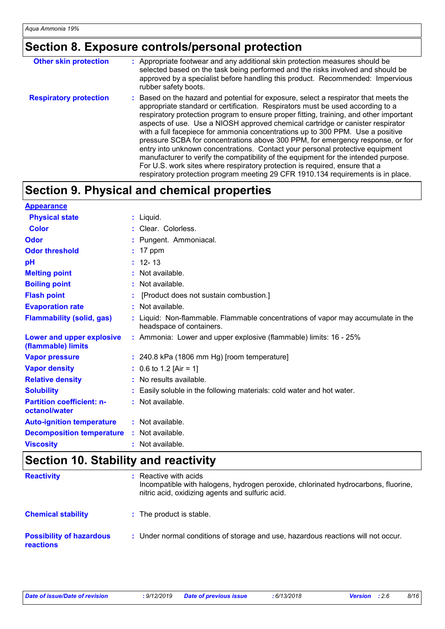## **Section 8. Exposure controls/personal protection**

| <b>Other skin protection</b>  | : Appropriate footwear and any additional skin protection measures should be<br>selected based on the task being performed and the risks involved and should be<br>approved by a specialist before handling this product. Recommended: Impervious<br>rubber safety boots.                                                                                                                                                                                                                                                                                                                                                                                                                                                                                                                                                                                         |
|-------------------------------|-------------------------------------------------------------------------------------------------------------------------------------------------------------------------------------------------------------------------------------------------------------------------------------------------------------------------------------------------------------------------------------------------------------------------------------------------------------------------------------------------------------------------------------------------------------------------------------------------------------------------------------------------------------------------------------------------------------------------------------------------------------------------------------------------------------------------------------------------------------------|
| <b>Respiratory protection</b> | : Based on the hazard and potential for exposure, select a respirator that meets the<br>appropriate standard or certification. Respirators must be used according to a<br>respiratory protection program to ensure proper fitting, training, and other important<br>aspects of use. Use a NIOSH approved chemical cartridge or canister respirator<br>with a full facepiece for ammonia concentrations up to 300 PPM. Use a positive<br>pressure SCBA for concentrations above 300 PPM, for emergency response, or for<br>entry into unknown concentrations. Contact your personal protective equipment<br>manufacturer to verify the compatibility of the equipment for the intended purpose.<br>For U.S. work sites where respiratory protection is required, ensure that a<br>respiratory protection program meeting 29 CFR 1910.134 requirements is in place. |

## **Section 9. Physical and chemical properties**

| <b>Appearance</b>                                 |                                                                                                              |
|---------------------------------------------------|--------------------------------------------------------------------------------------------------------------|
| <b>Physical state</b>                             | $:$ Liquid.                                                                                                  |
| <b>Color</b>                                      | : Clear. Colorless.                                                                                          |
| Odor                                              | : Pungent. Ammoniacal.                                                                                       |
| <b>Odor threshold</b>                             | $: 17$ ppm                                                                                                   |
| pH                                                | $: 12 - 13$                                                                                                  |
| <b>Melting point</b>                              | : Not available.                                                                                             |
| <b>Boiling point</b>                              | : Not available.                                                                                             |
| <b>Flash point</b>                                | : [Product does not sustain combustion.]                                                                     |
| <b>Evaporation rate</b>                           | : Not available.                                                                                             |
| <b>Flammability (solid, gas)</b>                  | : Liquid: Non-flammable. Flammable concentrations of vapor may accumulate in the<br>headspace of containers. |
| Lower and upper explosive<br>(flammable) limits   | : Ammonia: Lower and upper explosive (flammable) limits: 16 - 25%                                            |
| <b>Vapor pressure</b>                             | $: 240.8$ kPa (1806 mm Hg) [room temperature]                                                                |
| <b>Vapor density</b>                              | $: 0.6$ to 1.2 [Air = 1]                                                                                     |
| <b>Relative density</b>                           | : No results available.                                                                                      |
| <b>Solubility</b>                                 | : Easily soluble in the following materials: cold water and hot water.                                       |
| <b>Partition coefficient: n-</b><br>octanol/water | : Not available.                                                                                             |
| <b>Auto-ignition temperature</b>                  | : Not available.                                                                                             |
| <b>Decomposition temperature</b>                  | : Not available.                                                                                             |
| <b>Viscosity</b>                                  | : Not available.                                                                                             |

## **Section 10. Stability and reactivity**

| <b>Reactivity</b>                            | Reactive with acids<br>Incompatible with halogens, hydrogen peroxide, chlorinated hydrocarbons, fluorine,<br>nitric acid, oxidizing agents and sulfuric acid. |
|----------------------------------------------|---------------------------------------------------------------------------------------------------------------------------------------------------------------|
| <b>Chemical stability</b>                    | : The product is stable.                                                                                                                                      |
| <b>Possibility of hazardous</b><br>reactions | : Under normal conditions of storage and use, hazardous reactions will not occur.                                                                             |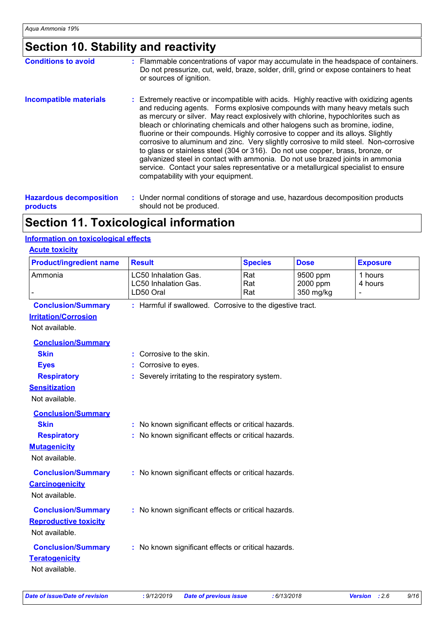## **Section 10. Stability and reactivity**

| <b>Conditions to avoid</b>                 | : Flammable concentrations of vapor may accumulate in the headspace of containers.<br>Do not pressurize, cut, weld, braze, solder, drill, grind or expose containers to heat<br>or sources of ignition.                                                                                                                                                                                                                                                                                                                                                                                                                                                                                                                                                                                                             |
|--------------------------------------------|---------------------------------------------------------------------------------------------------------------------------------------------------------------------------------------------------------------------------------------------------------------------------------------------------------------------------------------------------------------------------------------------------------------------------------------------------------------------------------------------------------------------------------------------------------------------------------------------------------------------------------------------------------------------------------------------------------------------------------------------------------------------------------------------------------------------|
| <b>Incompatible materials</b>              | : Extremely reactive or incompatible with acids. Highly reactive with oxidizing agents<br>and reducing agents. Forms explosive compounds with many heavy metals such<br>as mercury or silver. May react explosively with chlorine, hypochlorites such as<br>bleach or chlorinating chemicals and other halogens such as bromine, iodine,<br>fluorine or their compounds. Highly corrosive to copper and its alloys. Slightly<br>corrosive to aluminum and zinc. Very slightly corrosive to mild steel. Non-corrosive<br>to glass or stainless steel (304 or 316). Do not use copper, brass, bronze, or<br>galvanized steel in contact with ammonia. Do not use brazed joints in ammonia<br>service. Contact your sales representative or a metallurgical specialist to ensure<br>compatability with your equipment. |
| <b>Hazardous decomposition</b><br>products | : Under normal conditions of storage and use, hazardous decomposition products<br>should not be produced.                                                                                                                                                                                                                                                                                                                                                                                                                                                                                                                                                                                                                                                                                                           |

## **Section 11. Toxicological information**

### **Information on toxicological effects**

### **Acute toxicity**

| <b>Product/ingredient name</b> | <b>Result</b>                                             | <b>Species</b>    | <b>Dose</b>                       | <b>Exposure</b>                                |
|--------------------------------|-----------------------------------------------------------|-------------------|-----------------------------------|------------------------------------------------|
| Ammonia                        | LC50 Inhalation Gas.<br>LC50 Inhalation Gas.<br>LD50 Oral | Rat<br>Rat<br>Rat | 9500 ppm<br>2000 ppm<br>350 mg/kg | 1 hours<br>4 hours<br>$\overline{\phantom{0}}$ |
| <b>Conclusion/Summary</b>      | : Harmful if swallowed. Corrosive to the digestive tract. |                   |                                   |                                                |
| <b>Irritation/Corrosion</b>    |                                                           |                   |                                   |                                                |
| Not available.                 |                                                           |                   |                                   |                                                |
| <b>Conclusion/Summary</b>      |                                                           |                   |                                   |                                                |
| <b>Skin</b>                    | : Corrosive to the skin.                                  |                   |                                   |                                                |
| <b>Eyes</b>                    | Corrosive to eyes.                                        |                   |                                   |                                                |
| <b>Respiratory</b>             | : Severely irritating to the respiratory system.          |                   |                                   |                                                |
| <b>Sensitization</b>           |                                                           |                   |                                   |                                                |
| Not available.                 |                                                           |                   |                                   |                                                |
| <b>Conclusion/Summary</b>      |                                                           |                   |                                   |                                                |
| <b>Skin</b>                    | : No known significant effects or critical hazards.       |                   |                                   |                                                |
| <b>Respiratory</b>             | : No known significant effects or critical hazards.       |                   |                                   |                                                |
| <b>Mutagenicity</b>            |                                                           |                   |                                   |                                                |
| Not available.                 |                                                           |                   |                                   |                                                |
| <b>Conclusion/Summary</b>      | : No known significant effects or critical hazards.       |                   |                                   |                                                |
| <b>Carcinogenicity</b>         |                                                           |                   |                                   |                                                |
| Not available.                 |                                                           |                   |                                   |                                                |
| <b>Conclusion/Summary</b>      | : No known significant effects or critical hazards.       |                   |                                   |                                                |
| <b>Reproductive toxicity</b>   |                                                           |                   |                                   |                                                |
| Not available.                 |                                                           |                   |                                   |                                                |
| <b>Conclusion/Summary</b>      | : No known significant effects or critical hazards.       |                   |                                   |                                                |
| <b>Teratogenicity</b>          |                                                           |                   |                                   |                                                |
| Not available.                 |                                                           |                   |                                   |                                                |
|                                |                                                           |                   |                                   |                                                |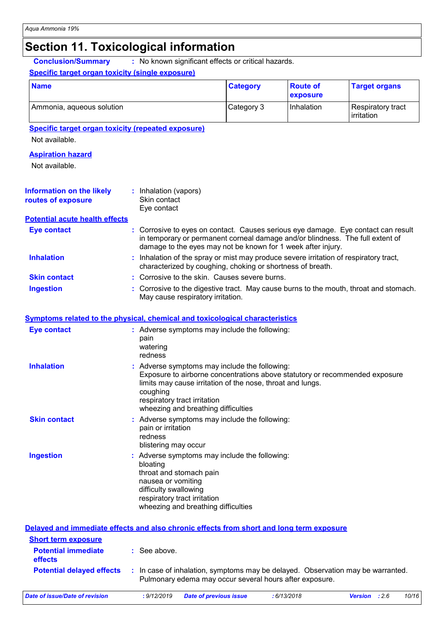# **Section 11. Toxicological information**

**Conclusion/Summary :** No known significant effects or critical hazards.

### **Specific target organ toxicity (single exposure)**

| <b>Name</b>                                                                                                            |                                                                                                                    |                                                                     | <b>Category</b>                                                                                             | <b>Route of</b><br>exposure                                  | <b>Target organs</b>                                                                                                                                               |
|------------------------------------------------------------------------------------------------------------------------|--------------------------------------------------------------------------------------------------------------------|---------------------------------------------------------------------|-------------------------------------------------------------------------------------------------------------|--------------------------------------------------------------|--------------------------------------------------------------------------------------------------------------------------------------------------------------------|
| Ammonia, aqueous solution                                                                                              |                                                                                                                    |                                                                     | Category 3                                                                                                  | Inhalation                                                   | Respiratory tract<br>irritation                                                                                                                                    |
| <b>Specific target organ toxicity (repeated exposure)</b><br>Not available.                                            |                                                                                                                    |                                                                     |                                                                                                             |                                                              |                                                                                                                                                                    |
| <b>Aspiration hazard</b><br>Not available.                                                                             |                                                                                                                    |                                                                     |                                                                                                             |                                                              |                                                                                                                                                                    |
| <b>Information on the likely</b><br>routes of exposure                                                                 | : Inhalation (vapors)<br>Skin contact<br>Eye contact                                                               |                                                                     |                                                                                                             |                                                              |                                                                                                                                                                    |
| <b>Potential acute health effects</b>                                                                                  |                                                                                                                    |                                                                     |                                                                                                             |                                                              |                                                                                                                                                                    |
| <b>Eye contact</b>                                                                                                     |                                                                                                                    |                                                                     |                                                                                                             | damage to the eyes may not be known for 1 week after injury. | : Corrosive to eyes on contact. Causes serious eye damage. Eye contact can result<br>in temporary or permanent corneal damage and/or blindness. The full extent of |
| <b>Inhalation</b>                                                                                                      |                                                                                                                    |                                                                     |                                                                                                             | characterized by coughing, choking or shortness of breath.   | : Inhalation of the spray or mist may produce severe irritation of respiratory tract,                                                                              |
| <b>Skin contact</b>                                                                                                    |                                                                                                                    |                                                                     | : Corrosive to the skin. Causes severe burns.                                                               |                                                              |                                                                                                                                                                    |
| <b>Ingestion</b>                                                                                                       |                                                                                                                    | May cause respiratory irritation.                                   |                                                                                                             |                                                              | : Corrosive to the digestive tract. May cause burns to the mouth, throat and stomach.                                                                              |
| <b>Symptoms related to the physical, chemical and toxicological characteristics</b>                                    |                                                                                                                    |                                                                     |                                                                                                             |                                                              |                                                                                                                                                                    |
| <b>Eye contact</b>                                                                                                     | pain<br>watering<br>redness                                                                                        |                                                                     | : Adverse symptoms may include the following:                                                               |                                                              |                                                                                                                                                                    |
| <b>Inhalation</b>                                                                                                      | coughing                                                                                                           | respiratory tract irritation<br>wheezing and breathing difficulties | : Adverse symptoms may include the following:<br>limits may cause irritation of the nose, throat and lungs. |                                                              | Exposure to airborne concentrations above statutory or recommended exposure                                                                                        |
| <b>Skin contact</b>                                                                                                    | pain or irritation<br>redness<br>blistering may occur                                                              |                                                                     | : Adverse symptoms may include the following:                                                               |                                                              |                                                                                                                                                                    |
| <b>Ingestion</b>                                                                                                       | bloating<br>throat and stomach pain<br>nausea or vomiting<br>difficulty swallowing<br>respiratory tract irritation | wheezing and breathing difficulties                                 | : Adverse symptoms may include the following:                                                               |                                                              |                                                                                                                                                                    |
| Delayed and immediate effects and also chronic effects from short and long term exposure<br><b>Short term exposure</b> |                                                                                                                    |                                                                     |                                                                                                             |                                                              |                                                                                                                                                                    |
| <b>Potential immediate</b><br>effects                                                                                  | : See above.                                                                                                       |                                                                     |                                                                                                             |                                                              |                                                                                                                                                                    |
| <b>Potential delayed effects</b>                                                                                       |                                                                                                                    |                                                                     |                                                                                                             | Pulmonary edema may occur several hours after exposure.      | : In case of inhalation, symptoms may be delayed. Observation may be warranted.                                                                                    |
| <b>Date of issue/Date of revision</b>                                                                                  | : 9/12/2019                                                                                                        | <b>Date of previous issue</b>                                       |                                                                                                             | : 6/13/2018                                                  | 10/16<br>Version : 2.6                                                                                                                                             |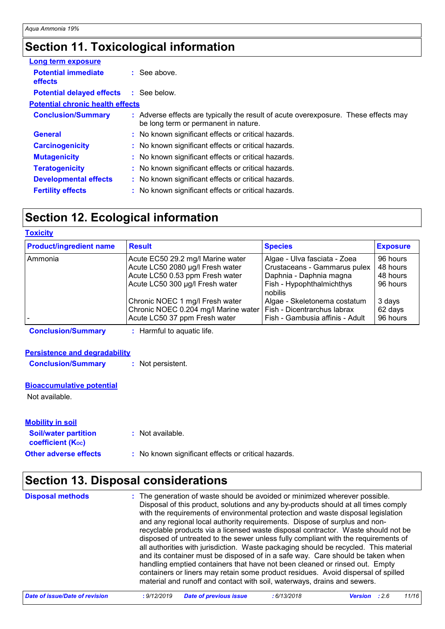## **Section 11. Toxicological information**

| Long term exposure                           |                                                                                                                             |  |
|----------------------------------------------|-----------------------------------------------------------------------------------------------------------------------------|--|
| <b>Potential immediate</b><br><b>effects</b> | $\therefore$ See above.                                                                                                     |  |
| <b>Potential delayed effects</b>             | : See below.                                                                                                                |  |
| <b>Potential chronic health effects</b>      |                                                                                                                             |  |
| <b>Conclusion/Summary</b>                    | : Adverse effects are typically the result of acute overexposure. These effects may<br>be long term or permanent in nature. |  |
| <b>General</b>                               | : No known significant effects or critical hazards.                                                                         |  |
| <b>Carcinogenicity</b>                       | : No known significant effects or critical hazards.                                                                         |  |
| <b>Mutagenicity</b>                          | : No known significant effects or critical hazards.                                                                         |  |
| <b>Teratogenicity</b>                        | : No known significant effects or critical hazards.                                                                         |  |
| <b>Developmental effects</b>                 | : No known significant effects or critical hazards.                                                                         |  |
| <b>Fertility effects</b>                     | : No known significant effects or critical hazards.                                                                         |  |

## **Section 12. Ecological information**

| <b>Toxicity</b>                |                                                                                                                                             |                                                                                                                                 |                                              |  |  |
|--------------------------------|---------------------------------------------------------------------------------------------------------------------------------------------|---------------------------------------------------------------------------------------------------------------------------------|----------------------------------------------|--|--|
| <b>Product/ingredient name</b> | <b>Result</b>                                                                                                                               | <b>Species</b>                                                                                                                  | <b>Exposure</b>                              |  |  |
| Ammonia                        | Acute EC50 29.2 mg/l Marine water<br>Acute LC50 2080 µg/l Fresh water<br>Acute LC50 0.53 ppm Fresh water<br>Acute LC50 300 µg/l Fresh water | Algae - Ulva fasciata - Zoea<br>Crustaceans - Gammarus pulex<br>Daphnia - Daphnia magna<br>Fish - Hypophthalmichthys<br>nobilis | 96 hours<br>48 hours<br>48 hours<br>96 hours |  |  |
|                                | Chronic NOEC 1 mg/l Fresh water<br>Chronic NOEC 0.204 mg/l Marine water<br>Acute LC50 37 ppm Fresh water                                    | Algae - Skeletonema costatum<br>Fish - Dicentrarchus labrax<br>Fish - Gambusia affinis - Adult                                  | 3 days<br>62 days<br>96 hours                |  |  |

**Conclusion/Summary :** Harmful to aquatic life.

### **Persistence and degradability**

| <b>Conclusion/Summary</b> | : Not persistent. |
|---------------------------|-------------------|
|                           |                   |

### **Bioaccumulative potential**

Not available.

### **Mobility in soil**

| <b>Soil/water partition</b><br>coefficient (K <sub>oc</sub> ) | : Not available.                                    |
|---------------------------------------------------------------|-----------------------------------------------------|
| <b>Other adverse effects</b>                                  | : No known significant effects or critical hazards. |

## **Section 13. Disposal considerations**

| <b>Disposal methods</b> | : The generation of waste should be avoided or minimized wherever possible.<br>Disposal of this product, solutions and any by-products should at all times comply<br>with the requirements of environmental protection and waste disposal legislation<br>and any regional local authority requirements. Dispose of surplus and non-<br>recyclable products via a licensed waste disposal contractor. Waste should not be<br>disposed of untreated to the sewer unless fully compliant with the requirements of<br>all authorities with jurisdiction. Waste packaging should be recycled. This material<br>and its container must be disposed of in a safe way. Care should be taken when<br>handling emptied containers that have not been cleaned or rinsed out. Empty<br>containers or liners may retain some product residues. Avoid dispersal of spilled<br>material and runoff and contact with soil, waterways, drains and sewers. |
|-------------------------|------------------------------------------------------------------------------------------------------------------------------------------------------------------------------------------------------------------------------------------------------------------------------------------------------------------------------------------------------------------------------------------------------------------------------------------------------------------------------------------------------------------------------------------------------------------------------------------------------------------------------------------------------------------------------------------------------------------------------------------------------------------------------------------------------------------------------------------------------------------------------------------------------------------------------------------|
|-------------------------|------------------------------------------------------------------------------------------------------------------------------------------------------------------------------------------------------------------------------------------------------------------------------------------------------------------------------------------------------------------------------------------------------------------------------------------------------------------------------------------------------------------------------------------------------------------------------------------------------------------------------------------------------------------------------------------------------------------------------------------------------------------------------------------------------------------------------------------------------------------------------------------------------------------------------------------|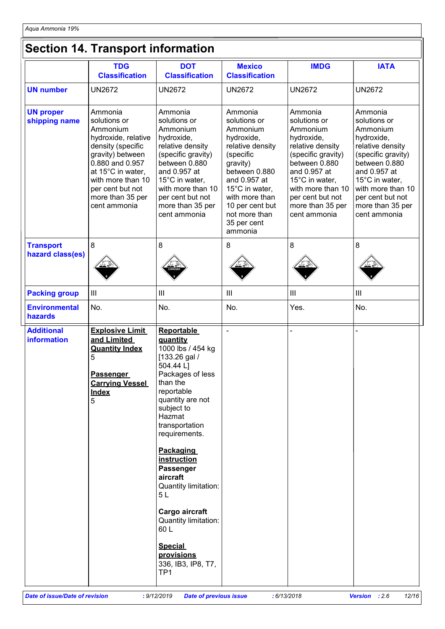#### **Section 14. Transport information** Ammonia solutions or Ammonium hydroxide, relative density (specific gravity) between 0.880 and 0.957 at 15°C in water, with more than 10 per cent but not more than 35 per cent ammonia 8 III Ammonia solutions or Ammonium hydroxide, relative density (specific gravity) between 0.880 and 0.957 at 15°C in water, with more than 10 per cent but not more than 35 per cent ammonia UN2672 8 III UN2672 - - **IMDG IATA UN number UN proper shipping name Transport hazard class(es) Packing group Additional information Environmental hazards** Yes. INo. **DOT Classification** UN2672 Ammonia solutions or Ammonium hydroxide, relative density (specific gravity) between 0.880 and 0.957 at 15°C in water, with more than 10 per cent but not more than 35 per cent ammonia 8 III No. **Reportable quantity** 1000 lbs / 454 kg [133.26 gal / 504.44 L] Packages of less than the reportable quantity are not subject to Hazmat transportation requirements. **Packaging instruction Passenger aircraft** Quantity limitation: 5 L **Cargo aircraft** Quantity limitation: 60 L **Special provisions** 336, IB3, IP8, T7, TP1 **TDG Classification** UN2672 Ammonia solutions or Ammonium hydroxide, relative density (specific gravity) between 0.880 and 0.957 at 15°C in water, with more than 10 per cent but not more than 35 per cent ammonia 8 No. **Explosive Limit and Limited Quantity Index** 5 **Passenger Carrying Vessel Index** 5 **Mexico Classification** UN2672 Ammonia solutions or Ammonium hydroxide, relative density (specific gravity) between 0.880 and 0.957 at 15°C in water, with more than 10 per cent but not more than 35 per cent ammonia 8 III No. -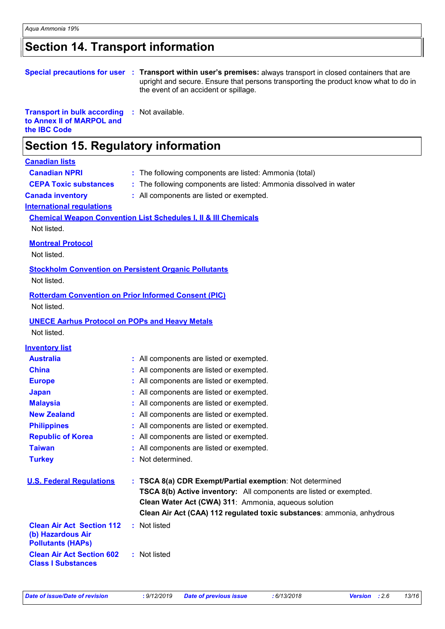## **Section 14. Transport information**

|                                                                                   | Special precautions for user : Transport within user's premises: always transport in closed containers that are<br>upright and secure. Ensure that persons transporting the product know what to do in<br>the event of an accident or spillage.                  |
|-----------------------------------------------------------------------------------|------------------------------------------------------------------------------------------------------------------------------------------------------------------------------------------------------------------------------------------------------------------|
| <b>Transport in bulk according</b><br>to Annex II of MARPOL and<br>the IBC Code   | : Not available.                                                                                                                                                                                                                                                 |
| <b>Section 15. Regulatory information</b>                                         |                                                                                                                                                                                                                                                                  |
| <b>Canadian lists</b>                                                             |                                                                                                                                                                                                                                                                  |
| <b>Canadian NPRI</b>                                                              | : The following components are listed: Ammonia (total)                                                                                                                                                                                                           |
| <b>CEPA Toxic substances</b>                                                      | : The following components are listed: Ammonia dissolved in water                                                                                                                                                                                                |
| <b>Canada inventory</b>                                                           | : All components are listed or exempted.                                                                                                                                                                                                                         |
| <b>International requlations</b>                                                  |                                                                                                                                                                                                                                                                  |
|                                                                                   | <b>Chemical Weapon Convention List Schedules I, II &amp; III Chemicals</b>                                                                                                                                                                                       |
| Not listed.                                                                       |                                                                                                                                                                                                                                                                  |
| <b>Montreal Protocol</b>                                                          |                                                                                                                                                                                                                                                                  |
| Not listed.                                                                       |                                                                                                                                                                                                                                                                  |
|                                                                                   | <b>Stockholm Convention on Persistent Organic Pollutants</b>                                                                                                                                                                                                     |
| Not listed.                                                                       |                                                                                                                                                                                                                                                                  |
|                                                                                   | <b>Rotterdam Convention on Prior Informed Consent (PIC)</b>                                                                                                                                                                                                      |
| Not listed.                                                                       |                                                                                                                                                                                                                                                                  |
|                                                                                   |                                                                                                                                                                                                                                                                  |
| <b>UNECE Aarhus Protocol on POPs and Heavy Metals</b>                             |                                                                                                                                                                                                                                                                  |
| Not listed.                                                                       |                                                                                                                                                                                                                                                                  |
| <b>Inventory list</b>                                                             |                                                                                                                                                                                                                                                                  |
| <b>Australia</b>                                                                  | : All components are listed or exempted.                                                                                                                                                                                                                         |
| <b>China</b>                                                                      | : All components are listed or exempted.                                                                                                                                                                                                                         |
| <b>Europe</b>                                                                     | : All components are listed or exempted.                                                                                                                                                                                                                         |
| <b>Japan</b>                                                                      | : All components are listed or exempted.                                                                                                                                                                                                                         |
| <b>Malaysia</b>                                                                   | : All components are listed or exempted.                                                                                                                                                                                                                         |
| <b>New Zealand</b>                                                                | : All components are listed or exempted.                                                                                                                                                                                                                         |
| <b>Philippines</b>                                                                | : All components are listed or exempted.                                                                                                                                                                                                                         |
| <b>Republic of Korea</b>                                                          | : All components are listed or exempted.                                                                                                                                                                                                                         |
| <b>Taiwan</b>                                                                     | : All components are listed or exempted.                                                                                                                                                                                                                         |
| <b>Turkey</b>                                                                     | : Not determined.                                                                                                                                                                                                                                                |
| <b>U.S. Federal Regulations</b>                                                   | : TSCA 8(a) CDR Exempt/Partial exemption: Not determined<br>TSCA 8(b) Active inventory: All components are listed or exempted.<br>Clean Water Act (CWA) 311: Ammonia, aqueous solution<br>Clean Air Act (CAA) 112 regulated toxic substances: ammonia, anhydrous |
| <b>Clean Air Act Section 112</b><br>(b) Hazardous Air<br><b>Pollutants (HAPS)</b> | : Not listed                                                                                                                                                                                                                                                     |
| <b>Clean Air Act Section 602</b><br><b>Class I Substances</b>                     | : Not listed                                                                                                                                                                                                                                                     |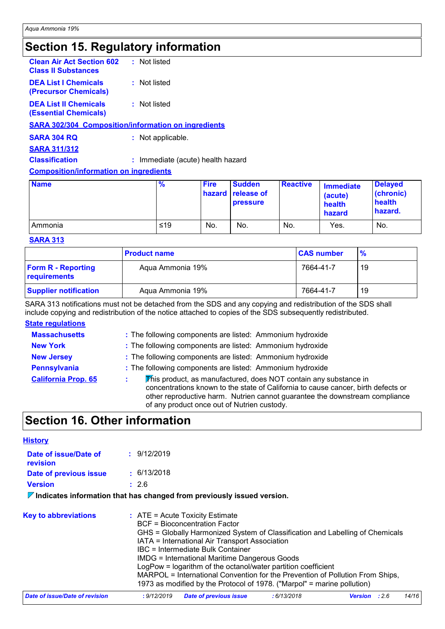## **Section 15. Regulatory information**

| <b>Clean Air Act Section 602</b><br><b>Class II Substances</b> | : Not listed                      |
|----------------------------------------------------------------|-----------------------------------|
| <b>DEA List I Chemicals</b><br>(Precursor Chemicals)           | Not listed                        |
| <b>DEA List II Chemicals</b><br><b>(Essential Chemicals)</b>   | : Not listed                      |
| <b>SARA 302/304 Composition/information on ingredients</b>     |                                   |
| <b>SARA 304 RQ</b>                                             | : Not applicable.                 |
| <b>SARA 311/312</b>                                            |                                   |
| <b>Classification</b>                                          | : Immediate (acute) health hazard |
| <b>Composition/information on ingredients</b>                  |                                   |

| <b>Name</b> | $\frac{9}{6}$ | <b>Fire</b> | <b>Sudden</b><br>hazard release of<br><b>pressure</b> | <b>Reactive</b> | <b>Immediate</b><br>(acute)<br>health<br>hazard | <b>Delayed</b><br>(chronic)<br>health<br>∣ hazard. |
|-------------|---------------|-------------|-------------------------------------------------------|-----------------|-------------------------------------------------|----------------------------------------------------|
| Ammonia     | $≤19$         | No.         | No.                                                   | No.             | Yes.                                            | No.                                                |

#### **SARA 313**

|                                           | <b>Product name</b> | <b>CAS number</b> | $\frac{9}{6}$ |
|-------------------------------------------|---------------------|-------------------|---------------|
| <b>Form R - Reporting</b><br>requirements | Agua Ammonia 19%    | 7664-41-7         | 19            |
| <b>Supplier notification</b>              | Aqua Ammonia 19%    | 7664-41-7         | 19            |

SARA 313 notifications must not be detached from the SDS and any copying and redistribution of the SDS shall include copying and redistribution of the notice attached to copies of the SDS subsequently redistributed.

|  | <b>State regulations</b> |
|--|--------------------------|
|  |                          |

| <b>Massachusetts</b>       | : The following components are listed: Ammonium hydroxide                                                                                                                                                                                                                           |
|----------------------------|-------------------------------------------------------------------------------------------------------------------------------------------------------------------------------------------------------------------------------------------------------------------------------------|
| <b>New York</b>            | : The following components are listed: Ammonium hydroxide                                                                                                                                                                                                                           |
| <b>New Jersey</b>          | : The following components are listed: Ammonium hydroxide                                                                                                                                                                                                                           |
| <b>Pennsylvania</b>        | : The following components are listed: Ammonium hydroxide                                                                                                                                                                                                                           |
| <b>California Prop. 65</b> | This product, as manufactured, does NOT contain any substance in<br>concentrations known to the state of California to cause cancer, birth defects or<br>other reproductive harm. Nutrien cannot guarantee the downstream compliance<br>of any product once out of Nutrien custody. |

## **Section 16. Other information**

| <b>History</b>                    |                 |  |
|-----------------------------------|-----------------|--|
| Date of issue/Date of<br>revision | : 9/12/2019     |  |
| Date of previous issue            | $\pm$ 6/13/2018 |  |
| <b>Version</b>                    | : 2.6           |  |
|                                   |                 |  |

**Indicates information that has changed from previously issued version.**

| <b>Key to abbreviations</b> | $\therefore$ ATE = Acute Toxicity Estimate<br><b>BCF</b> = Bioconcentration Factor<br>GHS = Globally Harmonized System of Classification and Labelling of Chemicals<br>IATA = International Air Transport Association<br>IBC = Intermediate Bulk Container<br><b>IMDG = International Maritime Dangerous Goods</b><br>LogPow = logarithm of the octanol/water partition coefficient<br>MARPOL = International Convention for the Prevention of Pollution From Ships,<br>1973 as modified by the Protocol of 1978. ("Marpol" = marine pollution) |
|-----------------------------|-------------------------------------------------------------------------------------------------------------------------------------------------------------------------------------------------------------------------------------------------------------------------------------------------------------------------------------------------------------------------------------------------------------------------------------------------------------------------------------------------------------------------------------------------|
|-----------------------------|-------------------------------------------------------------------------------------------------------------------------------------------------------------------------------------------------------------------------------------------------------------------------------------------------------------------------------------------------------------------------------------------------------------------------------------------------------------------------------------------------------------------------------------------------|

*Date of issue/Date of revision* **:** *9/12/2019 Date of previous issue : 6/13/2018 Version : 2.6 14/16*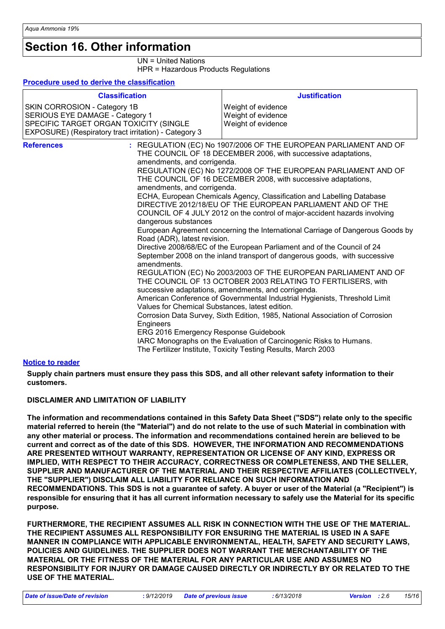## **Section 16. Other information**

UN = United Nations HPR = Hazardous Products Regulations

### **Procedure used to derive the classification**

|                                                                                                                                                                    | <b>Classification</b>                                                                                                                                                                                                                      | <b>Justification</b>                                                                                                                                                                                                                                                                                                                                                                                                                                                                                                                                                                                                                                                                                                                                                                                                                                                                                                                                                                                                                                                                                                                                                                                                                  |
|--------------------------------------------------------------------------------------------------------------------------------------------------------------------|--------------------------------------------------------------------------------------------------------------------------------------------------------------------------------------------------------------------------------------------|---------------------------------------------------------------------------------------------------------------------------------------------------------------------------------------------------------------------------------------------------------------------------------------------------------------------------------------------------------------------------------------------------------------------------------------------------------------------------------------------------------------------------------------------------------------------------------------------------------------------------------------------------------------------------------------------------------------------------------------------------------------------------------------------------------------------------------------------------------------------------------------------------------------------------------------------------------------------------------------------------------------------------------------------------------------------------------------------------------------------------------------------------------------------------------------------------------------------------------------|
| SKIN CORROSION - Category 1B<br>SERIOUS EYE DAMAGE - Category 1<br>SPECIFIC TARGET ORGAN TOXICITY (SINGLE<br>EXPOSURE) (Respiratory tract irritation) - Category 3 |                                                                                                                                                                                                                                            | Weight of evidence<br>Weight of evidence<br>Weight of evidence                                                                                                                                                                                                                                                                                                                                                                                                                                                                                                                                                                                                                                                                                                                                                                                                                                                                                                                                                                                                                                                                                                                                                                        |
| <b>References</b>                                                                                                                                                  | amendments, and corrigenda.<br>amendments, and corrigenda.<br>dangerous substances<br>Road (ADR), latest revision.<br>amendments.<br>Values for Chemical Substances, latest edition.<br>Engineers<br>ERG 2016 Emergency Response Guidebook | : REGULATION (EC) No 1907/2006 OF THE EUROPEAN PARLIAMENT AND OF<br>THE COUNCIL OF 18 DECEMBER 2006, with successive adaptations,<br>REGULATION (EC) No 1272/2008 OF THE EUROPEAN PARLIAMENT AND OF<br>THE COUNCIL OF 16 DECEMBER 2008, with successive adaptations,<br>ECHA, European Chemicals Agency, Classification and Labelling Database<br>DIRECTIVE 2012/18/EU OF THE EUROPEAN PARLIAMENT AND OF THE<br>COUNCIL OF 4 JULY 2012 on the control of major-accident hazards involving<br>European Agreement concerning the International Carriage of Dangerous Goods by<br>Directive 2008/68/EC of the European Parliament and of the Council of 24<br>September 2008 on the inland transport of dangerous goods, with successive<br>REGULATION (EC) No 2003/2003 OF THE EUROPEAN PARLIAMENT AND OF<br>THE COUNCIL OF 13 OCTOBER 2003 RELATING TO FERTILISERS, with<br>successive adaptations, amendments, and corrigenda.<br>American Conference of Governmental Industrial Hygienists, Threshold Limit<br>Corrosion Data Survey, Sixth Edition, 1985, National Association of Corrosion<br>IARC Monographs on the Evaluation of Carcinogenic Risks to Humans.<br>The Fertilizer Institute, Toxicity Testing Results, March 2003 |
| <b>Notice to reader</b>                                                                                                                                            |                                                                                                                                                                                                                                            |                                                                                                                                                                                                                                                                                                                                                                                                                                                                                                                                                                                                                                                                                                                                                                                                                                                                                                                                                                                                                                                                                                                                                                                                                                       |

**Supply chain partners must ensure they pass this SDS, and all other relevant safety information to their customers.**

#### **DISCLAIMER AND LIMITATION OF LIABILITY**

**The information and recommendations contained in this Safety Data Sheet ("SDS") relate only to the specific material referred to herein (the "Material") and do not relate to the use of such Material in combination with any other material or process. The information and recommendations contained herein are believed to be current and correct as of the date of this SDS. HOWEVER, THE INFORMATION AND RECOMMENDATIONS ARE PRESENTED WITHOUT WARRANTY, REPRESENTATION OR LICENSE OF ANY KIND, EXPRESS OR IMPLIED, WITH RESPECT TO THEIR ACCURACY, CORRECTNESS OR COMPLETENESS, AND THE SELLER, SUPPLIER AND MANUFACTURER OF THE MATERIAL AND THEIR RESPECTIVE AFFILIATES (COLLECTIVELY, THE "SUPPLIER") DISCLAIM ALL LIABILITY FOR RELIANCE ON SUCH INFORMATION AND RECOMMENDATIONS. This SDS is not a guarantee of safety. A buyer or user of the Material (a "Recipient") is responsible for ensuring that it has all current information necessary to safely use the Material for its specific purpose.**

**FURTHERMORE, THE RECIPIENT ASSUMES ALL RISK IN CONNECTION WITH THE USE OF THE MATERIAL. THE RECIPIENT ASSUMES ALL RESPONSIBILITY FOR ENSURING THE MATERIAL IS USED IN A SAFE MANNER IN COMPLIANCE WITH APPLICABLE ENVIRONMENTAL, HEALTH, SAFETY AND SECURITY LAWS, POLICIES AND GUIDELINES. THE SUPPLIER DOES NOT WARRANT THE MERCHANTABILITY OF THE MATERIAL OR THE FITNESS OF THE MATERIAL FOR ANY PARTICULAR USE AND ASSUMES NO RESPONSIBILITY FOR INJURY OR DAMAGE CAUSED DIRECTLY OR INDIRECTLY BY OR RELATED TO THE USE OF THE MATERIAL.**

| <b>Date of issue/Date of revision</b> |  | : 9/12/2019 Date of previous issue | 6/13/2018 | <b>Version</b> : 2.6 | 15/16 |
|---------------------------------------|--|------------------------------------|-----------|----------------------|-------|
|---------------------------------------|--|------------------------------------|-----------|----------------------|-------|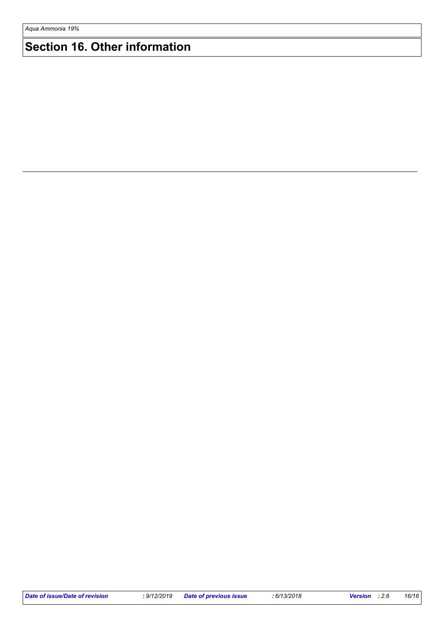## **Section 16. Other information**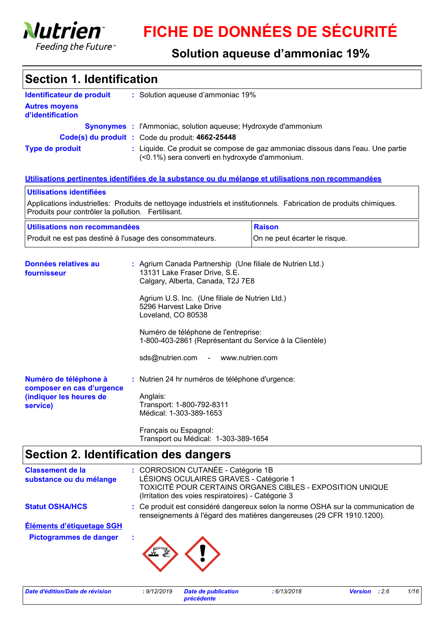

# **FICHE DE DONNÉES DE SÉCURITÉ**

## **Solution aqueuse d'ammoniac 19%**

| <b>Section 1. Identification</b>                                                          |                                                                                                                                                                                                                                                                                                                                                                                           |                                                                                                                      |
|-------------------------------------------------------------------------------------------|-------------------------------------------------------------------------------------------------------------------------------------------------------------------------------------------------------------------------------------------------------------------------------------------------------------------------------------------------------------------------------------------|----------------------------------------------------------------------------------------------------------------------|
| Identificateur de produit<br><b>Autres moyens</b><br>d'identification                     | : Solution aqueuse d'ammoniac 19%                                                                                                                                                                                                                                                                                                                                                         |                                                                                                                      |
| <b>Type de produit</b>                                                                    | <b>Synonymes</b> : l'Ammoniac, solution aqueuse; Hydroxyde d'ammonium<br>Code(s) du produit : Code du produit: 4662-25448<br>(<0.1%) sera converti en hydroxyde d'ammonium.                                                                                                                                                                                                               | : Liquide. Ce produit se compose de gaz ammoniac dissous dans l'eau. Une partie                                      |
|                                                                                           |                                                                                                                                                                                                                                                                                                                                                                                           | Utilisations pertinentes identifiées de la substance ou du mélange et utilisations non recommandées                  |
| Utilisations identifiées<br>Produits pour contrôler la pollution. Fertilisant.            |                                                                                                                                                                                                                                                                                                                                                                                           | Applications industrielles: Produits de nettoyage industriels et institutionnels. Fabrication de produits chimiques. |
| <u>Utilisations non recommandées</u>                                                      |                                                                                                                                                                                                                                                                                                                                                                                           | <b>Raison</b>                                                                                                        |
| Produit ne est pas destiné à l'usage des consommateurs.                                   |                                                                                                                                                                                                                                                                                                                                                                                           | On ne peut écarter le risque.                                                                                        |
| Données relatives au<br>fournisseur                                                       | : Agrium Canada Partnership (Une filiale de Nutrien Ltd.)<br>13131 Lake Fraser Drive, S.E.<br>Calgary, Alberta, Canada, T2J 7E8<br>Agrium U.S. Inc. (Une filiale de Nutrien Ltd.)<br>5296 Harvest Lake Drive<br>Loveland, CO 80538<br>Numéro de téléphone de l'entreprise:<br>1-800-403-2861 (Représentant du Service à la Clientèle)<br>sds@nutrien.com<br>www.nutrien.com<br>$\sim 100$ |                                                                                                                      |
| Numéro de téléphone à<br>composer en cas d'urgence<br>(indiquer les heures de<br>service) | : Nutrien 24 hr numéros de téléphone d'urgence:<br>Anglais:<br>Transport: 1-800-792-8311<br>Médical: 1-303-389-1653<br>Français ou Espagnol:<br>Transport ou Médical: 1-303-389-1654                                                                                                                                                                                                      |                                                                                                                      |

## **Section 2. Identification des dangers**

| <b>Classement de la</b><br>substance ou du mélange | : CORROSION CUTANÉE - Catégorie 1B<br>LÉSIONS OCULAIRES GRAVES - Catégorie 1<br>TOXICITÉ POUR CERTAINS ORGANES CIBLES - EXPOSITION UNIQUE<br>(Irritation des voies respiratoires) - Catégorie 3 |
|----------------------------------------------------|-------------------------------------------------------------------------------------------------------------------------------------------------------------------------------------------------|
| <b>Statut OSHA/HCS</b>                             | : Ce produit est considéré dangereux selon la norme OSHA sur la communication de<br>renseignements à l'égard des matières dangereuses (29 CFR 1910.1200).                                       |
| <b>Éléments d'étiquetage SGH</b>                   |                                                                                                                                                                                                 |
| Pictogrammes de danger                             |                                                                                                                                                                                                 |

*Date d'édition/Date de révision* **:** *9/12/2019 Date de publication*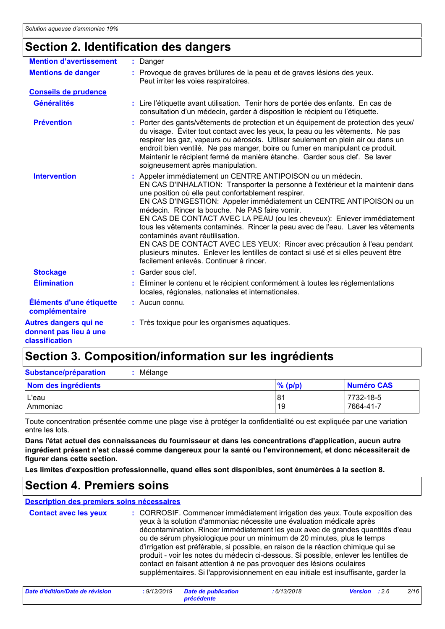## **Section 2. Identification des dangers**

| <b>Mention d'avertissement</b>                                    | : Danger                                                                                                                                                                                                                                                                                                                                                                                                                                                                                                                                                                                                                                                                                                                                      |
|-------------------------------------------------------------------|-----------------------------------------------------------------------------------------------------------------------------------------------------------------------------------------------------------------------------------------------------------------------------------------------------------------------------------------------------------------------------------------------------------------------------------------------------------------------------------------------------------------------------------------------------------------------------------------------------------------------------------------------------------------------------------------------------------------------------------------------|
| <b>Mentions de danger</b>                                         | : Provoque de graves brûlures de la peau et de graves lésions des yeux.<br>Peut irriter les voies respiratoires.                                                                                                                                                                                                                                                                                                                                                                                                                                                                                                                                                                                                                              |
| <b>Conseils de prudence</b>                                       |                                                                                                                                                                                                                                                                                                                                                                                                                                                                                                                                                                                                                                                                                                                                               |
| <b>Généralités</b>                                                | : Lire l'étiquette avant utilisation. Tenir hors de portée des enfants. En cas de<br>consultation d'un médecin, garder à disposition le récipient ou l'étiquette.                                                                                                                                                                                                                                                                                                                                                                                                                                                                                                                                                                             |
| <b>Prévention</b>                                                 | : Porter des gants/vêtements de protection et un équipement de protection des yeux/<br>du visage. Éviter tout contact avec les yeux, la peau ou les vêtements. Ne pas<br>respirer les gaz, vapeurs ou aérosols. Utiliser seulement en plein air ou dans un<br>endroit bien ventilé. Ne pas manger, boire ou fumer en manipulant ce produit.<br>Maintenir le récipient fermé de manière étanche. Garder sous clef. Se laver<br>soigneusement après manipulation.                                                                                                                                                                                                                                                                               |
| <b>Intervention</b>                                               | : Appeler immédiatement un CENTRE ANTIPOISON ou un médecin.<br>EN CAS D'INHALATION: Transporter la personne à l'extérieur et la maintenir dans<br>une position où elle peut confortablement respirer.<br>EN CAS D'INGESTION: Appeler immédiatement un CENTRE ANTIPOISON ou un<br>médecin. Rincer la bouche. Ne PAS faire vomir.<br>EN CAS DE CONTACT AVEC LA PEAU (ou les cheveux): Enlever immédiatement<br>tous les vêtements contaminés. Rincer la peau avec de l'eau. Laver les vêtements<br>contaminés avant réutilisation.<br>EN CAS DE CONTACT AVEC LES YEUX: Rincer avec précaution à l'eau pendant<br>plusieurs minutes. Enlever les lentilles de contact si usé et si elles peuvent être<br>facilement enlevés. Continuer à rincer. |
| <b>Stockage</b>                                                   | : Garder sous clef.                                                                                                                                                                                                                                                                                                                                                                                                                                                                                                                                                                                                                                                                                                                           |
| <b>Élimination</b>                                                | Éliminer le contenu et le récipient conformément à toutes les réglementations<br>locales, régionales, nationales et internationales.                                                                                                                                                                                                                                                                                                                                                                                                                                                                                                                                                                                                          |
| Éléments d'une étiquette<br>complémentaire                        | $:$ Aucun connu.                                                                                                                                                                                                                                                                                                                                                                                                                                                                                                                                                                                                                                                                                                                              |
| Autres dangers qui ne<br>donnent pas lieu à une<br>classification | : Très toxique pour les organismes aquatiques.                                                                                                                                                                                                                                                                                                                                                                                                                                                                                                                                                                                                                                                                                                |

## **Section 3. Composition/information sur les ingrédients**

| Substance/préparation<br>Mélange |           |            |
|----------------------------------|-----------|------------|
| Nom des ingrédients              | $%$ (p/p) | Numéro CAS |
| L'eau                            | -81       | 7732-18-5  |
| Ammoniac                         | 19        | 7664-41-7  |

Toute concentration présentée comme une plage vise à protéger la confidentialité ou est expliquée par une variation entre les lots.

**Dans l'état actuel des connaissances du fournisseur et dans les concentrations d'application, aucun autre ingrédient présent n'est classé comme dangereux pour la santé ou l'environnement, et donc nécessiterait de figurer dans cette section.**

**Les limites d'exposition professionnelle, quand elles sont disponibles, sont énumérées à la section 8.**

## **Section 4. Premiers soins**

**Description des premiers soins nécessaires**

| <b>Contact avec les yeux</b> | : CORROSIF. Commencer immédiatement irrigation des yeux. Toute exposition des<br>yeux à la solution d'ammoniac nécessite une évaluation médicale après<br>décontamination. Rincer immédiatement les yeux avec de grandes quantités d'eau<br>ou de sérum physiologique pour un minimum de 20 minutes, plus le temps<br>d'irrigation est préférable, si possible, en raison de la réaction chimique qui se<br>produit - voir les notes du médecin ci-dessous. Si possible, enlever les lentilles de<br>contact en faisant attention à ne pas provoquer des lésions oculaires<br>supplémentaires. Si l'approvisionnement en eau initiale est insuffisante, garder la |
|------------------------------|-------------------------------------------------------------------------------------------------------------------------------------------------------------------------------------------------------------------------------------------------------------------------------------------------------------------------------------------------------------------------------------------------------------------------------------------------------------------------------------------------------------------------------------------------------------------------------------------------------------------------------------------------------------------|
|------------------------------|-------------------------------------------------------------------------------------------------------------------------------------------------------------------------------------------------------------------------------------------------------------------------------------------------------------------------------------------------------------------------------------------------------------------------------------------------------------------------------------------------------------------------------------------------------------------------------------------------------------------------------------------------------------------|

| Date d'édition/Date de révision | : 9/12/2019 | <b>Date de publication</b> | 6/13/2018 | <b>Version</b> : 2.6 | 2/16 |
|---------------------------------|-------------|----------------------------|-----------|----------------------|------|
|                                 |             | précédente                 |           |                      |      |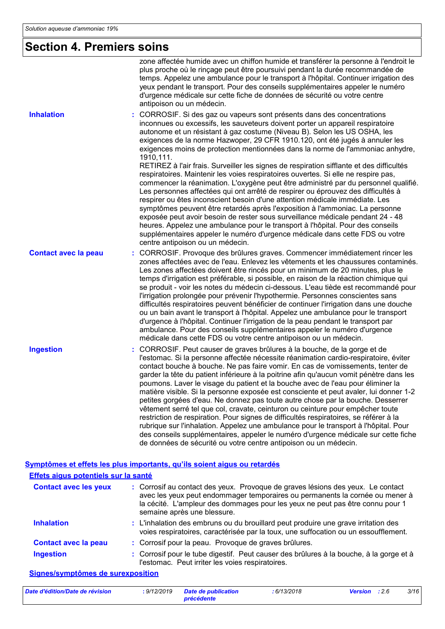# **Section 4. Premiers soins**

| zone affectée humide avec un chiffon humide et transférer la personne à l'endroit le<br>plus proche où le rinçage peut être poursuivi pendant la durée recommandée de<br>temps. Appelez une ambulance pour le transport à l'hôpital. Continuer irrigation des<br>yeux pendant le transport. Pour des conseils supplémentaires appeler le numéro<br>d'urgence médicale sur cette fiche de données de sécurité ou votre centre<br>antipoison ou un médecin.                                                                                                                                                                                                                                                                                                                                                                                                                                                                                                                                                                                                                                                                                                                                                                               |
|-----------------------------------------------------------------------------------------------------------------------------------------------------------------------------------------------------------------------------------------------------------------------------------------------------------------------------------------------------------------------------------------------------------------------------------------------------------------------------------------------------------------------------------------------------------------------------------------------------------------------------------------------------------------------------------------------------------------------------------------------------------------------------------------------------------------------------------------------------------------------------------------------------------------------------------------------------------------------------------------------------------------------------------------------------------------------------------------------------------------------------------------------------------------------------------------------------------------------------------------|
| CORROSIF. Si des gaz ou vapeurs sont présents dans des concentrations<br>inconnues ou excessifs, les sauveteurs doivent porter un appareil respiratoire<br>autonome et un résistant à gaz costume (Niveau B). Selon les US OSHA, les<br>exigences de la norme Hazwoper, 29 CFR 1910.120, ont été jugés à annuler les<br>exigences moins de protection mentionnées dans la norme de l'ammoniac anhydre,<br>1910,111.<br>RETIREZ à l'air frais. Surveiller les signes de respiration sifflante et des difficultés<br>respiratoires. Maintenir les voies respiratoires ouvertes. Si elle ne respire pas,<br>commencer la réanimation. L'oxygène peut être administré par du personnel qualifié.<br>Les personnes affectées qui ont arrêté de respirer ou éprouvez des difficultés à<br>respirer ou êtes inconscient besoin d'une attention médicale immédiate. Les<br>symptômes peuvent être retardés après l'exposition à l'ammoniac. La personne<br>exposée peut avoir besoin de rester sous surveillance médicale pendant 24 - 48<br>heures. Appelez une ambulance pour le transport à l'hôpital. Pour des conseils<br>supplémentaires appeler le numéro d'urgence médicale dans cette FDS ou votre<br>centre antipoison ou un médecin. |
| CORROSIF. Provoque des brûlures graves. Commencer immédiatement rincer les<br>zones affectées avec de l'eau. Enlevez les vêtements et les chaussures contaminés.<br>Les zones affectées doivent être rincés pour un minimum de 20 minutes, plus le<br>temps d'irrigation est préférable, si possible, en raison de la réaction chimique qui<br>se produit - voir les notes du médecin ci-dessous. L'eau tiède est recommandé pour<br>l'irrigation prolongée pour prévenir l'hypothermie. Personnes conscientes sans<br>difficultés respiratoires peuvent bénéficier de continuer l'irrigation dans une douche<br>ou un bain avant le transport à l'hôpital. Appelez une ambulance pour le transport<br>d'urgence à l'hôpital. Continuer l'irrigation de la peau pendant le transport par<br>ambulance. Pour des conseils supplémentaires appeler le numéro d'urgence<br>médicale dans cette FDS ou votre centre antipoison ou un médecin.                                                                                                                                                                                                                                                                                               |
| CORROSIF. Peut causer de graves brûlures à la bouche, de la gorge et de<br>l'estomac. Si la personne affectée nécessite réanimation cardio-respiratoire, éviter<br>contact bouche à bouche. Ne pas faire vomir. En cas de vomissements, tenter de<br>garder la tête du patient inférieure à la poitrine afin qu'aucun vomit pénètre dans les<br>poumons. Laver le visage du patient et la bouche avec de l'eau pour éliminer la<br>matière visible. Si la personne exposée est consciente et peut avaler, lui donner 1-2<br>petites gorgées d'eau. Ne donnez pas toute autre chose par la bouche. Desserrer<br>vêtement serré tel que col, cravate, ceinturon ou ceinture pour empêcher toute<br>restriction de respiration. Pour signes de difficultés respiratoires, se référer à la<br>rubrique sur l'inhalation. Appelez une ambulance pour le transport à l'hôpital. Pour<br>des conseils supplémentaires, appeler le numéro d'urgence médicale sur cette fiche<br>de données de sécurité ou votre centre antipoison ou un médecin.                                                                                                                                                                                                |
|                                                                                                                                                                                                                                                                                                                                                                                                                                                                                                                                                                                                                                                                                                                                                                                                                                                                                                                                                                                                                                                                                                                                                                                                                                         |

### **Symptômes et effets les plus importants, qu'ils soient aigus ou retardés Effets aigus potentiels sur la santé**

| <b>Contact avec les yeux</b>                        | : Corrosif au contact des yeux. Provoque de graves lésions des yeux. Le contact<br>avec les yeux peut endommager temporaires ou permanents la cornée ou mener à<br>la cécité. L'ampleur des dommages pour les yeux ne peut pas être connu pour 1<br>semaine après une blessure. |
|-----------------------------------------------------|---------------------------------------------------------------------------------------------------------------------------------------------------------------------------------------------------------------------------------------------------------------------------------|
| <b>Inhalation</b>                                   | : L'inhalation des embruns ou du brouillard peut produire une grave irritation des<br>voies respiratoires, caractérisée par la toux, une suffocation ou un essoufflement.                                                                                                       |
| <b>Contact avec la peau</b>                         | : Corrosif pour la peau. Provoque de graves brûlures.                                                                                                                                                                                                                           |
| <b>Ingestion</b>                                    | : Corrosif pour le tube digestif. Peut causer des brûlures à la bouche, à la gorge et à<br>l'estomac. Peut irriter les voies respiratoires.                                                                                                                                     |
| At a constant of America de la component de Ministr |                                                                                                                                                                                                                                                                                 |

#### **Signes/symptômes de surexposition**

| Date d'édition/Date de révision | : 9/12/2019 | <b>Date de publication</b> | : 6/13/2018 | <b>Version</b> : 2.6 | 3/16 |
|---------------------------------|-------------|----------------------------|-------------|----------------------|------|
|                                 |             | précédente                 |             |                      |      |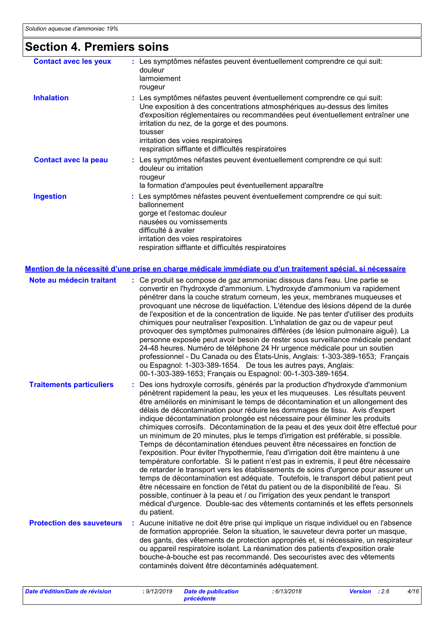## **Section 4. Premiers soins**

| <b>Contact avec les yeux</b> | Les symptômes néfastes peuvent éventuellement comprendre ce qui suit:<br>douleur<br>larmoiement<br>rougeur                                                                                                                                                                                                                                                                                    |
|------------------------------|-----------------------------------------------------------------------------------------------------------------------------------------------------------------------------------------------------------------------------------------------------------------------------------------------------------------------------------------------------------------------------------------------|
| <b>Inhalation</b>            | : Les symptômes néfastes peuvent éventuellement comprendre ce qui suit:<br>Une exposition à des concentrations atmosphériques au-dessus des limites<br>d'exposition réglementaires ou recommandées peut éventuellement entraîner une<br>irritation du nez, de la gorge et des poumons.<br>tousser<br>irritation des voies respiratoires<br>respiration sifflante et difficultés respiratoires |
| <b>Contact avec la peau</b>  | : Les symptômes néfastes peuvent éventuellement comprendre ce qui suit:<br>douleur ou irritation<br>rougeur<br>la formation d'ampoules peut éventuellement apparaître                                                                                                                                                                                                                         |
| <b>Ingestion</b>             | : Les symptômes néfastes peuvent éventuellement comprendre ce qui suit:<br>ballonnement<br>gorge et l'estomac douleur<br>nausées ou vomissements<br>difficulté à avaler<br>irritation des voies respiratoires<br>respiration sifflante et difficultés respiratoires                                                                                                                           |

### **Mention de la nécessité d'une prise en charge médicale immédiate ou d'un traitement spécial, si nécessaire**

| Note au médecin traitant         | : Ce produit se compose de gaz ammoniac dissous dans l'eau. Une partie se<br>convertir en l'hydroxyde d'ammonium. L'hydroxyde d'ammonium va rapidement<br>pénétrer dans la couche stratum corneum, les yeux, membranes muqueuses et<br>provoquant une nécrose de liquéfaction. L'étendue des lésions dépend de la durée<br>de l'exposition et de la concentration de liquide. Ne pas tenter d'utiliser des produits<br>chimiques pour neutraliser l'exposition. L'inhalation de gaz ou de vapeur peut<br>provoquer des symptômes pulmonaires différées (de lésion pulmonaire aiguë). La<br>personne exposée peut avoir besoin de rester sous surveillance médicale pendant<br>24-48 heures. Numéro de téléphone 24 Hr urgence médicale pour un soutien<br>professionnel - Du Canada ou des États-Unis, Anglais: 1-303-389-1653; Français<br>ou Espagnol: 1-303-389-1654. De tous les autres pays, Anglais:<br>00-1-303-389-1653; Français ou Espagnol: 00-1-303-389-1654.                                                                                                                                                                                                                                                                                                                                            |
|----------------------------------|----------------------------------------------------------------------------------------------------------------------------------------------------------------------------------------------------------------------------------------------------------------------------------------------------------------------------------------------------------------------------------------------------------------------------------------------------------------------------------------------------------------------------------------------------------------------------------------------------------------------------------------------------------------------------------------------------------------------------------------------------------------------------------------------------------------------------------------------------------------------------------------------------------------------------------------------------------------------------------------------------------------------------------------------------------------------------------------------------------------------------------------------------------------------------------------------------------------------------------------------------------------------------------------------------------------------|
| <b>Traitements particuliers</b>  | Des ions hydroxyle corrosifs, générés par la production d'hydroxyde d'ammonium<br>pénètrent rapidement la peau, les yeux et les muqueuses. Les résultats peuvent<br>être améliorés en minimisant le temps de décontamination et un allongement des<br>délais de décontamination pour réduire les dommages de tissu. Avis d'expert<br>indique décontamination prolongée est nécessaire pour éliminer les produits<br>chimiques corrosifs. Décontamination de la peau et des yeux doit être effectué pour<br>un minimum de 20 minutes, plus le temps d'irrigation est préférable, si possible.<br>Temps de décontamination étendues peuvent être nécessaires en fonction de<br>l'exposition. Pour éviter l'hypothermie, l'eau d'irrigation doit être maintenu à une<br>température confortable. Si le patient n'est pas in extremis, il peut être nécessaire<br>de retarder le transport vers les établissements de soins d'urgence pour assurer un<br>temps de décontamination est adéquate. Toutefois, le transport début patient peut<br>être nécessaire en fonction de l'état du patient ou de la disponibilité de l'eau. Si<br>possible, continuer à la peau et / ou l'irrigation des yeux pendant le transport<br>médical d'urgence. Double-sac des vêtements contaminés et les effets personnels<br>du patient. |
| <b>Protection des sauveteurs</b> | : Aucune initiative ne doit être prise qui implique un risque individuel ou en l'absence<br>de formation appropriée. Selon la situation, le sauveteur devra porter un masque,<br>des gants, des vêtements de protection appropriés et, si nécessaire, un respirateur<br>ou appareil respiratoire isolant. La réanimation des patients d'exposition orale<br>bouche-à-bouche est pas recommandé. Des secouristes avec des vêtements<br>contaminés doivent être décontaminés adéquatement.                                                                                                                                                                                                                                                                                                                                                                                                                                                                                                                                                                                                                                                                                                                                                                                                                             |

| Date d'édition/Date de révision | : 9/12/2019 | Date de publication | : 6/13/2018 | 4/16<br><b>Version</b> : 2.6 |
|---------------------------------|-------------|---------------------|-------------|------------------------------|
|                                 |             | précédente          |             |                              |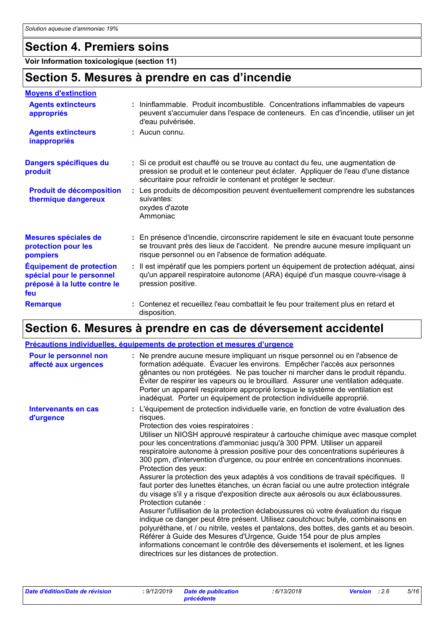### **Section 4. Premiers soins**

**Voir Information toxicologique (section 11)**

### **Section 5. Mesures à prendre en cas d'incendie**

| <b>Movens d'extinction</b>                                                                                 |                                                                                                                                                                                                                                           |
|------------------------------------------------------------------------------------------------------------|-------------------------------------------------------------------------------------------------------------------------------------------------------------------------------------------------------------------------------------------|
| <b>Agents extincteurs</b><br>appropriés                                                                    | : Ininflammable. Produit incombustible. Concentrations inflammables de vapeurs<br>peuvent s'accumuler dans l'espace de conteneurs. En cas d'incendie, utiliser un jet<br>d'eau pulvérisée.                                                |
| <b>Agents extincteurs</b><br>inappropriés                                                                  | $:$ Aucun connu.                                                                                                                                                                                                                          |
| Dangers spécifiques du<br>produit                                                                          | : Si ce produit est chauffé ou se trouve au contact du feu, une augmentation de<br>pression se produit et le conteneur peut éclater. Appliquer de l'eau d'une distance<br>sécuritaire pour refroidir le contenant et protéger le secteur. |
| <b>Produit de décomposition</b><br>thermique dangereux                                                     | : Les produits de décomposition peuvent éventuellement comprendre les substances<br>suivantes:<br>oxydes d'azote<br>Ammoniac                                                                                                              |
| Mesures spéciales de<br>protection pour les<br>pompiers                                                    | : En présence d'incendie, circonscrire rapidement le site en évacuant toute personne<br>se trouvant près des lieux de l'accident. Ne prendre aucune mesure impliquant un<br>risque personnel ou en l'absence de formation adéquate.       |
| <b>Équipement de protection</b><br>spécial pour le personnel<br>préposé à la lutte contre le<br><b>feu</b> | : Il est impératif que les pompiers portent un équipement de protection adéquat, ainsi<br>qu'un appareil respiratoire autonome (ARA) équipé d'un masque couvre-visage à<br>pression positive.                                             |
| <b>Remarque</b>                                                                                            | : Contenez et recueillez l'eau combattait le feu pour traitement plus en retard et<br>disposition.                                                                                                                                        |

### **Section 6. Mesures à prendre en cas de déversement accidentel**

#### **Précautions individuelles, équipements de protection et mesures d'urgence :** Ne prendre aucune mesure impliquant un risque personnel ou en l'absence de formation adéquate. Évacuer les environs. Empêcher l'accès aux personnes gênantes ou non protégées. Ne pas toucher ni marcher dans le produit répandu. Éviter de respirer les vapeurs ou le brouillard. Assurer une ventilation adéquate. Porter un appareil respiratoire approprié lorsque le système de ventilation est inadéquat. Porter un équipement de protection individuelle approprié. **Pour le personnel non affecté aux urgences Intervenants en cas d'urgence :** L'équipement de protection individuelle varie, en fonction de votre évaluation des risques. Protection des voies respiratoires : Utiliser un NIOSH approuvé respirateur à cartouche chimique avec masque complet pour les concentrations d'ammoniac jusqu'à 300 PPM. Utiliser un appareil respiratoire autonome à pression positive pour des concentrations supérieures à 300 ppm, d'intervention d'urgence, ou pour entrée en concentrations inconnues. Protection des yeux: Assurer la protection des yeux adaptés à vos conditions de travail spécifiques. Il faut porter des lunettes étanches, un écran facial ou une autre protection intégrale du visage s'il y a risque d'exposition directe aux aérosols ou aux éclaboussures. Protection cutanée : Assurer l'utilisation de la protection éclaboussures où votre évaluation du risque indique ce danger peut être présent. Utilisez caoutchouc butyle, combinaisons en polyuréthane, et / ou nitrile, vestes et pantalons, des bottes, des gants et au besoin. Référer à Guide des Mesures d'Urgence, Guide 154 pour de plus amples informations concernant le contrôle des déversements et isolement, et les lignes directrices sur les distances de protection.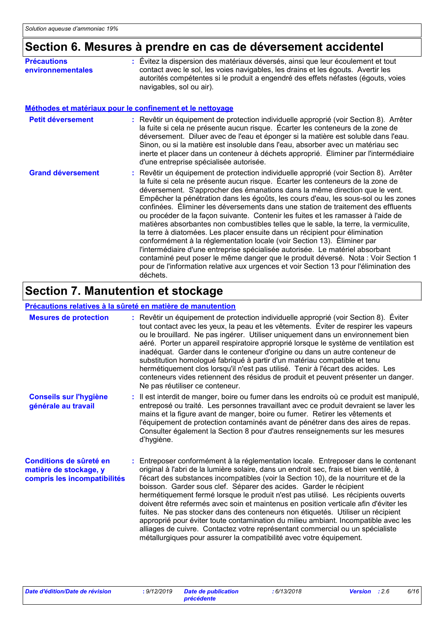### **Section 6. Mesures à prendre en cas de déversement accidentel**

| <b>Précautions</b><br>environnementales | : Évitez la dispersion des matériaux déversés, ainsi que leur écoulement et tout<br>contact avec le sol, les voies navigables, les drains et les égouts. Avertir les<br>autorités compétentes si le produit a engendré des effets néfastes (égouts, voies<br>navigables, sol ou air).                                                                                                                                                                                                 |
|-----------------------------------------|---------------------------------------------------------------------------------------------------------------------------------------------------------------------------------------------------------------------------------------------------------------------------------------------------------------------------------------------------------------------------------------------------------------------------------------------------------------------------------------|
|                                         | Méthodes et matériaux pour le confinement et le nettoyage                                                                                                                                                                                                                                                                                                                                                                                                                             |
| <b>Petit déversement</b>                | : Revêtir un équipement de protection individuelle approprié (voir Section 8). Arrêter<br>la fuite si cela ne présente aucun risque. Écarter les conteneurs de la zone de<br>déversement. Diluer avec de l'eau et éponger si la matière est soluble dans l'eau.<br>Sinon, ou si la matière est insoluble dans l'eau, absorber avec un matériau sec<br>inerte et placer dans un conteneur à déchets approprié. Éliminer par l'intermédiaire<br>d'une entreprise spécialisée autorisée. |
| <b>Grand déversement</b>                | : Revêtir un équipement de protection individuelle approprié (voir Section 8). Arrêter<br>la fuite si cela ne présente aucun risque. Écarter les conteneurs de la zone de                                                                                                                                                                                                                                                                                                             |

déversement. S'approcher des émanations dans la même direction que le vent. Empêcher la pénétration dans les égoûts, les cours d'eau, les sous-sol ou les zones confinées. Éliminer les déversements dans une station de traitement des effluents ou procéder de la façon suivante. Contenir les fuites et les ramasser à l'aide de matières absorbantes non combustibles telles que le sable, la terre, la vermiculite,

contaminé peut poser le même danger que le produit déversé. Nota : Voir Section 1 pour de l'information relative aux urgences et voir Section 13 pour l'élimination des

la terre à diatomées. Les placer ensuite dans un récipient pour élimination conformément à la réglementation locale (voir Section 13). Éliminer par l'intermédiaire d'une entreprise spécialisée autorisée. Le matériel absorbant

## **Section 7. Manutention et stockage**

### **Précautions relatives à la sûreté en matière de manutention**

déchets.

| <b>Mesures de protection</b>                                                      | : Revêtir un équipement de protection individuelle approprié (voir Section 8). Éviter<br>tout contact avec les yeux, la peau et les vêtements. Éviter de respirer les vapeurs<br>ou le brouillard. Ne pas ingérer. Utiliser uniquement dans un environnement bien<br>aéré. Porter un appareil respiratoire approprié lorsque le système de ventilation est<br>inadéquat. Garder dans le conteneur d'origine ou dans un autre conteneur de<br>substitution homologué fabriqué à partir d'un matériau compatible et tenu<br>hermétiquement clos lorsqu'il n'est pas utilisé. Tenir à l'écart des acides. Les<br>conteneurs vides retiennent des résidus de produit et peuvent présenter un danger.<br>Ne pas réutiliser ce conteneur.                                                                                                                      |
|-----------------------------------------------------------------------------------|----------------------------------------------------------------------------------------------------------------------------------------------------------------------------------------------------------------------------------------------------------------------------------------------------------------------------------------------------------------------------------------------------------------------------------------------------------------------------------------------------------------------------------------------------------------------------------------------------------------------------------------------------------------------------------------------------------------------------------------------------------------------------------------------------------------------------------------------------------|
| <b>Conseils sur l'hygiène</b><br>générale au travail                              | : Il est interdit de manger, boire ou fumer dans les endroits où ce produit est manipulé,<br>entreposé ou traité. Les personnes travaillant avec ce produit devraient se laver les<br>mains et la figure avant de manger, boire ou fumer. Retirer les vêtements et<br>l'équipement de protection contaminés avant de pénétrer dans des aires de repas.<br>Consulter également la Section 8 pour d'autres renseignements sur les mesures<br>d'hygiène.                                                                                                                                                                                                                                                                                                                                                                                                    |
| Conditions de sûreté en<br>matière de stockage, y<br>compris les incompatibilités | : Entreposer conformément à la réglementation locale. Entreposer dans le contenant<br>original à l'abri de la lumière solaire, dans un endroit sec, frais et bien ventilé, à<br>l'écart des substances incompatibles (voir la Section 10), de la nourriture et de la<br>boisson. Garder sous clef. Séparer des acides. Garder le récipient<br>hermétiquement fermé lorsque le produit n'est pas utilisé. Les récipients ouverts<br>doivent être refermés avec soin et maintenus en position verticale afin d'éviter les<br>fuites. Ne pas stocker dans des conteneurs non étiquetés. Utiliser un récipient<br>approprié pour éviter toute contamination du milieu ambiant. Incompatible avec les<br>alliages de cuivre. Contactez votre représentant commercial ou un spécialiste<br>métallurgiques pour assurer la compatibilité avec votre équipement. |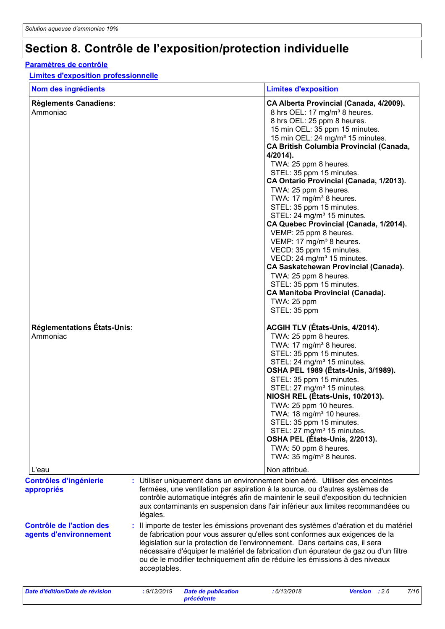## **Section 8. Contrôle de l'exposition/protection individuelle**

### **Paramètres de contrôle**

### **Limites d'exposition professionnelle**

| Nom des ingrédients                                                                                      | <b>Limites d'exposition</b>                                                                                                                                                                                                                                                                                                                                                                                                                                                                                                                                                                                                                                                                                                                                                                                                                                                                                                                                                                                                                                                                                                                                                                                                                                                                                                                                                                                                                   |
|----------------------------------------------------------------------------------------------------------|-----------------------------------------------------------------------------------------------------------------------------------------------------------------------------------------------------------------------------------------------------------------------------------------------------------------------------------------------------------------------------------------------------------------------------------------------------------------------------------------------------------------------------------------------------------------------------------------------------------------------------------------------------------------------------------------------------------------------------------------------------------------------------------------------------------------------------------------------------------------------------------------------------------------------------------------------------------------------------------------------------------------------------------------------------------------------------------------------------------------------------------------------------------------------------------------------------------------------------------------------------------------------------------------------------------------------------------------------------------------------------------------------------------------------------------------------|
| Règlements Canadiens:<br>Ammoniac<br>Réglementations États-Unis:<br>Ammoniac                             | CA Alberta Provincial (Canada, 4/2009).<br>8 hrs OEL: 17 mg/m <sup>3</sup> 8 heures.<br>8 hrs OEL: 25 ppm 8 heures.<br>15 min OEL: 35 ppm 15 minutes.<br>15 min OEL: 24 mg/m <sup>3</sup> 15 minutes.<br><b>CA British Columbia Provincial (Canada,</b><br>4/2014).<br>TWA: 25 ppm 8 heures.<br>STEL: 35 ppm 15 minutes.<br>CA Ontario Provincial (Canada, 1/2013).<br>TWA: 25 ppm 8 heures.<br>TWA: 17 mg/m <sup>3</sup> 8 heures.<br>STEL: 35 ppm 15 minutes.<br>STEL: 24 mg/m <sup>3</sup> 15 minutes.<br>CA Quebec Provincial (Canada, 1/2014).<br>VEMP: 25 ppm 8 heures.<br>VEMP: 17 mg/m <sup>3</sup> 8 heures.<br>VECD: 35 ppm 15 minutes.<br>VECD: 24 mg/m <sup>3</sup> 15 minutes.<br><b>CA Saskatchewan Provincial (Canada).</b><br>TWA: 25 ppm 8 heures.<br>STEL: 35 ppm 15 minutes.<br><b>CA Manitoba Provincial (Canada).</b><br>TWA: 25 ppm<br>STEL: 35 ppm<br>ACGIH TLV (États-Unis, 4/2014).<br>TWA: 25 ppm 8 heures.<br>TWA: 17 mg/m <sup>3</sup> 8 heures.<br>STEL: 35 ppm 15 minutes.<br>STEL: 24 mg/m <sup>3</sup> 15 minutes.<br>OSHA PEL 1989 (États-Unis, 3/1989).<br>STEL: 35 ppm 15 minutes.<br>STEL: 27 mg/m <sup>3</sup> 15 minutes.<br>NIOSH REL (États-Unis, 10/2013).<br>TWA: 25 ppm 10 heures.<br>TWA: 18 mg/m <sup>3</sup> 10 heures.<br>STEL: 35 ppm 15 minutes.<br>STEL: 27 mg/m <sup>3</sup> 15 minutes.<br>OSHA PEL (États-Unis, 2/2013).<br>TWA: 50 ppm 8 heures.<br>TWA: 35 mg/m <sup>3</sup> 8 heures. |
| L'eau                                                                                                    | Non attribué.                                                                                                                                                                                                                                                                                                                                                                                                                                                                                                                                                                                                                                                                                                                                                                                                                                                                                                                                                                                                                                                                                                                                                                                                                                                                                                                                                                                                                                 |
| <b>Contrôles d'ingénierie</b><br>appropriés<br><b>Contrôle de l'action des</b><br>agents d'environnement | : Utiliser uniquement dans un environnement bien aéré. Utiliser des enceintes<br>fermées, une ventilation par aspiration à la source, ou d'autres systèmes de<br>contrôle automatique intégrés afin de maintenir le seuil d'exposition du technicien<br>aux contaminants en suspension dans l'air inférieur aux limites recommandées ou<br>légales.<br>Il importe de tester les émissions provenant des systèmes d'aération et du matériel<br>de fabrication pour vous assurer qu'elles sont conformes aux exigences de la<br>législation sur la protection de l'environnement. Dans certains cas, il sera<br>nécessaire d'équiper le matériel de fabrication d'un épurateur de gaz ou d'un filtre<br>ou de le modifier techniquement afin de réduire les émissions à des niveaux<br>acceptables.                                                                                                                                                                                                                                                                                                                                                                                                                                                                                                                                                                                                                                             |
| Date d'édition/Date de révision                                                                          | : 9/12/2019<br>: 6/13/2018<br>Version : 2.6<br>7/16<br><b>Date de publication</b><br>précédente                                                                                                                                                                                                                                                                                                                                                                                                                                                                                                                                                                                                                                                                                                                                                                                                                                                                                                                                                                                                                                                                                                                                                                                                                                                                                                                                               |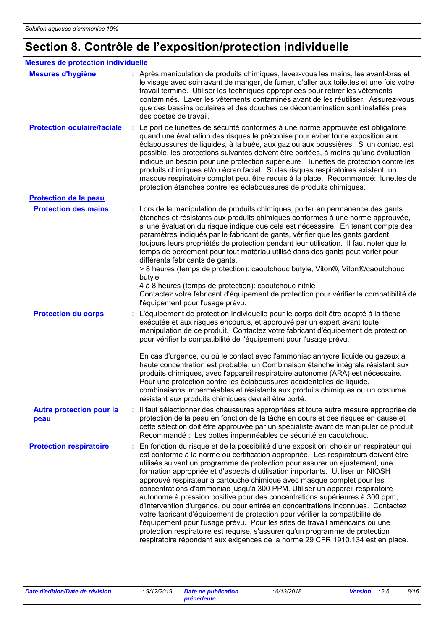## **Section 8. Contrôle de l'exposition/protection individuelle**

| <b>Mesures de protection individuelle</b> |                                                                                                                                                                                                                                                                                                                                                                                                                                                                                                                                                                                                                                                                                                                                                                                                                                                                                                                                                                                                               |
|-------------------------------------------|---------------------------------------------------------------------------------------------------------------------------------------------------------------------------------------------------------------------------------------------------------------------------------------------------------------------------------------------------------------------------------------------------------------------------------------------------------------------------------------------------------------------------------------------------------------------------------------------------------------------------------------------------------------------------------------------------------------------------------------------------------------------------------------------------------------------------------------------------------------------------------------------------------------------------------------------------------------------------------------------------------------|
| <b>Mesures d'hygiène</b>                  | : Après manipulation de produits chimiques, lavez-vous les mains, les avant-bras et<br>le visage avec soin avant de manger, de fumer, d'aller aux toilettes et une fois votre<br>travail terminé. Utiliser les techniques appropriées pour retirer les vêtements<br>contaminés. Laver les vêtements contaminés avant de les réutiliser. Assurez-vous<br>que des bassins oculaires et des douches de décontamination sont installés près<br>des postes de travail.                                                                                                                                                                                                                                                                                                                                                                                                                                                                                                                                             |
| <b>Protection oculaire/faciale</b>        | : Le port de lunettes de sécurité conformes à une norme approuvée est obligatoire<br>quand une évaluation des risques le préconise pour éviter toute exposition aux<br>éclaboussures de liquides, à la buée, aux gaz ou aux poussières. Si un contact est<br>possible, les protections suivantes doivent être portées, à moins qu'une évaluation<br>indique un besoin pour une protection supérieure : lunettes de protection contre les<br>produits chimiques et/ou écran facial. Si des risques respiratoires existent, un<br>masque respiratoire complet peut être requis à la place. Recommandé: lunettes de<br>protection étanches contre les éclaboussures de produits chimiques.                                                                                                                                                                                                                                                                                                                       |
| Protection de la peau                     |                                                                                                                                                                                                                                                                                                                                                                                                                                                                                                                                                                                                                                                                                                                                                                                                                                                                                                                                                                                                               |
| <b>Protection des mains</b>               | : Lors de la manipulation de produits chimiques, porter en permanence des gants<br>étanches et résistants aux produits chimiques conformes à une norme approuvée,<br>si une évaluation du risque indique que cela est nécessaire. En tenant compte des<br>paramètres indiqués par le fabricant de gants, vérifier que les gants gardent<br>toujours leurs propriétés de protection pendant leur utilisation. Il faut noter que le<br>temps de percement pour tout matériau utilisé dans des gants peut varier pour<br>différents fabricants de gants.<br>> 8 heures (temps de protection): caoutchouc butyle, Viton®, Viton®/caoutchouc<br>butyle<br>4 à 8 heures (temps de protection): caoutchouc nitrile<br>Contactez votre fabricant d'équipement de protection pour vérifier la compatibilité de<br>l'équipement pour l'usage prévu.                                                                                                                                                                     |
| <b>Protection du corps</b>                | : L'équipement de protection individuelle pour le corps doit être adapté à la tâche<br>exécutée et aux risques encourus, et approuvé par un expert avant toute<br>manipulation de ce produit. Contactez votre fabricant d'équipement de protection<br>pour vérifier la compatibilité de l'équipement pour l'usage prévu.<br>En cas d'urgence, ou où le contact avec l'ammoniac anhydre liquide ou gazeux à<br>haute concentration est probable, un Combinaison étanche intégrale résistant aux<br>produits chimiques, avec l'appareil respiratoire autonome (ARA) est nécessaire.<br>Pour une protection contre les éclaboussures accidentelles de liquide,<br>combinaisons imperméables et résistants aux produits chimiques ou un costume<br>résistant aux produits chimiques devrait être porté.                                                                                                                                                                                                           |
| <b>Autre protection pour la</b><br>peau   | : Il faut sélectionner des chaussures appropriées et toute autre mesure appropriée de<br>protection de la peau en fonction de la tâche en cours et des risques en cause et<br>cette sélection doit être approuvée par un spécialiste avant de manipuler ce produit.<br>Recommandé : Les bottes imperméables de sécurité en caoutchouc.                                                                                                                                                                                                                                                                                                                                                                                                                                                                                                                                                                                                                                                                        |
| <b>Protection respiratoire</b>            | : En fonction du risque et de la possibilité d'une exposition, choisir un respirateur qui<br>est conforme à la norme ou certification appropriée. Les respirateurs doivent être<br>utilisés suivant un programme de protection pour assurer un ajustement, une<br>formation appropriée et d'aspects d'utilisation importants. Utiliser un NIOSH<br>approuvé respirateur à cartouche chimique avec masque complet pour les<br>concentrations d'ammoniac jusqu'à 300 PPM. Utiliser un appareil respiratoire<br>autonome à pression positive pour des concentrations supérieures à 300 ppm,<br>d'intervention d'urgence, ou pour entrée en concentrations inconnues. Contactez<br>votre fabricant d'équipement de protection pour vérifier la compatibilité de<br>l'équipement pour l'usage prévu. Pour les sites de travail américains où une<br>protection respiratoire est requise, s'assurer qu'un programme de protection<br>respiratoire répondant aux exigences de la norme 29 CFR 1910.134 est en place. |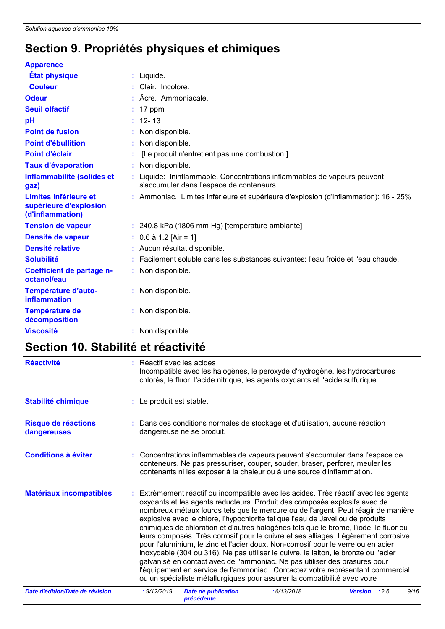## **Section 9. Propriétés physiques et chimiques**

| <b>Apparence</b>                                                    |                                                                                                                      |
|---------------------------------------------------------------------|----------------------------------------------------------------------------------------------------------------------|
| <b>État physique</b>                                                | : Liquide.                                                                                                           |
| <b>Couleur</b>                                                      | : Clair. Incolore.                                                                                                   |
| <b>Odeur</b>                                                        | : Âcre. Ammoniacale.                                                                                                 |
| <b>Seuil olfactif</b>                                               | : 17 ppm                                                                                                             |
| pH                                                                  | $: 12 - 13$                                                                                                          |
| <b>Point de fusion</b>                                              | : Non disponible.                                                                                                    |
| <b>Point d'ébullition</b>                                           | : Non disponible.                                                                                                    |
| Point d'éclair                                                      | [Le produit n'entretient pas une combustion.]                                                                        |
| <b>Taux d'évaporation</b>                                           | : Non disponible.                                                                                                    |
| Inflammabilité (solides et<br>gaz)                                  | : Liquide: Ininflammable. Concentrations inflammables de vapeurs peuvent<br>s'accumuler dans l'espace de conteneurs. |
| Limites inférieure et<br>supérieure d'explosion<br>(d'inflammation) | : Ammoniac. Limites inférieure et supérieure d'explosion (d'inflammation): 16 - 25%                                  |
| <b>Tension de vapeur</b>                                            | : 240.8 kPa (1806 mm Hg) [température ambiante]                                                                      |
| Densité de vapeur                                                   | : $0.6$ à 1.2 [Air = 1]                                                                                              |
| <b>Densité relative</b>                                             | : Aucun résultat disponible.                                                                                         |
| <b>Solubilité</b>                                                   | : Facilement soluble dans les substances suivantes: l'eau froide et l'eau chaude.                                    |
| Coefficient de partage n-<br>octanol/eau                            | : Non disponible.                                                                                                    |
| Température d'auto-<br><b>inflammation</b>                          | : Non disponible.                                                                                                    |
| Température de<br>décomposition                                     | : Non disponible.                                                                                                    |
| <b>Viscosité</b>                                                    | : Non disponible.                                                                                                    |

## **Section 10. Stabilité et réactivité**

| <b>Réactivité</b>                  | : Réactif avec les acides<br>Incompatible avec les halogènes, le peroxyde d'hydrogène, les hydrocarbures<br>chlorés, le fluor, l'acide nitrique, les agents oxydants et l'acide sulfurique.                                                                                                                                                                                                                                                                                                                                                                                                                                                                                                                                                                                                                                                                                                                                                    |
|------------------------------------|------------------------------------------------------------------------------------------------------------------------------------------------------------------------------------------------------------------------------------------------------------------------------------------------------------------------------------------------------------------------------------------------------------------------------------------------------------------------------------------------------------------------------------------------------------------------------------------------------------------------------------------------------------------------------------------------------------------------------------------------------------------------------------------------------------------------------------------------------------------------------------------------------------------------------------------------|
| Stabilité chimique                 | : Le produit est stable.                                                                                                                                                                                                                                                                                                                                                                                                                                                                                                                                                                                                                                                                                                                                                                                                                                                                                                                       |
| Risque de réactions<br>dangereuses | : Dans des conditions normales de stockage et d'utilisation, aucune réaction<br>dangereuse ne se produit.                                                                                                                                                                                                                                                                                                                                                                                                                                                                                                                                                                                                                                                                                                                                                                                                                                      |
| <b>Conditions à éviter</b>         | : Concentrations inflammables de vapeurs peuvent s'accumuler dans l'espace de<br>conteneurs. Ne pas pressuriser, couper, souder, braser, perforer, meuler les<br>contenants ni les exposer à la chaleur ou à une source d'inflammation.                                                                                                                                                                                                                                                                                                                                                                                                                                                                                                                                                                                                                                                                                                        |
| <b>Matériaux incompatibles</b>     | : Extrêmement réactif ou incompatible avec les acides. Très réactif avec les agents<br>oxydants et les agents réducteurs. Produit des composés explosifs avec de<br>nombreux métaux lourds tels que le mercure ou de l'argent. Peut réagir de manière<br>explosive avec le chlore, l'hypochlorite tel que l'eau de Javel ou de produits<br>chimiques de chloration et d'autres halogènes tels que le brome, l'iode, le fluor ou<br>leurs composés. Très corrosif pour le cuivre et ses alliages. Légèrement corrosive<br>pour l'aluminium, le zinc et l'acier doux. Non-corrosif pour le verre ou en acier<br>inoxydable (304 ou 316). Ne pas utiliser le cuivre, le laiton, le bronze ou l'acier<br>galvanisé en contact avec de l'ammoniac. Ne pas utiliser des brasures pour<br>l'équipement en service de l'ammoniac. Contactez votre représentant commercial<br>ou un spécialiste métallurgiques pour assurer la compatibilité avec votre |
| Date d'édition/Date de révision    | : 9/12/2019<br><b>Date de publication</b><br>: 6/13/2018<br><b>Version</b><br>: 2.6<br>9/16<br>précédente                                                                                                                                                                                                                                                                                                                                                                                                                                                                                                                                                                                                                                                                                                                                                                                                                                      |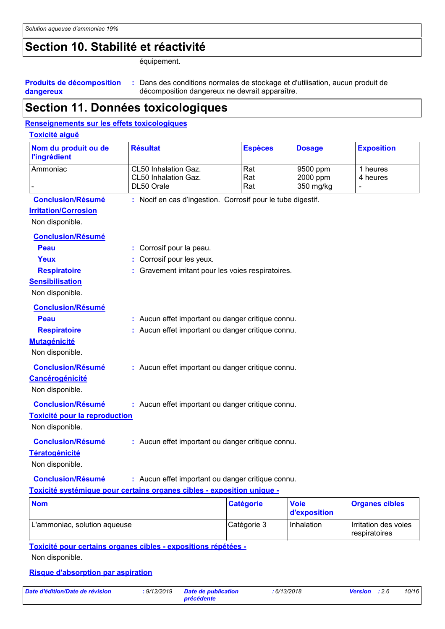## **Section 10. Stabilité et réactivité**

équipement.

| <b>Produits de décomposition</b> | Dans des conditions normales de stockage et d'utilisation, aucun produit de |
|----------------------------------|-----------------------------------------------------------------------------|
| dangereux                        | décomposition dangereux ne devrait apparaître.                              |
|                                  |                                                                             |

## **Section 11. Données toxicologiques**

### **Renseignements sur les effets toxicologiques**

| Nom du produit ou de                 | <b>Résultat</b>                                                        | <b>Espèces</b> | <b>Dosage</b> | <b>Exposition</b> |
|--------------------------------------|------------------------------------------------------------------------|----------------|---------------|-------------------|
| <b>l'ingrédient</b>                  |                                                                        |                |               |                   |
| Ammoniac                             | CL50 Inhalation Gaz.                                                   | Rat            | 9500 ppm      | 1 heures          |
|                                      | CL50 Inhalation Gaz.                                                   | Rat            | 2000 ppm      | 4 heures          |
|                                      | DL50 Orale                                                             | Rat            | 350 mg/kg     | L,                |
| <b>Conclusion/Résumé</b>             | : Nocif en cas d'ingestion. Corrosif pour le tube digestif.            |                |               |                   |
| <b>Irritation/Corrosion</b>          |                                                                        |                |               |                   |
| Non disponible.                      |                                                                        |                |               |                   |
| <b>Conclusion/Résumé</b>             |                                                                        |                |               |                   |
| Peau                                 | : Corrosif pour la peau.                                               |                |               |                   |
| <b>Yeux</b>                          | Corrosif pour les yeux.                                                |                |               |                   |
| <b>Respiratoire</b>                  | Gravement irritant pour les voies respiratoires.                       |                |               |                   |
| <b>Sensibilisation</b>               |                                                                        |                |               |                   |
| Non disponible.                      |                                                                        |                |               |                   |
| <b>Conclusion/Résumé</b>             |                                                                        |                |               |                   |
| <b>Peau</b>                          | : Aucun effet important ou danger critique connu.                      |                |               |                   |
| <b>Respiratoire</b>                  | : Aucun effet important ou danger critique connu.                      |                |               |                   |
| <b>Mutagénicité</b>                  |                                                                        |                |               |                   |
| Non disponible.                      |                                                                        |                |               |                   |
| <b>Conclusion/Résumé</b>             | : Aucun effet important ou danger critique connu.                      |                |               |                   |
| <b>Cancérogénicité</b>               |                                                                        |                |               |                   |
| Non disponible.                      |                                                                        |                |               |                   |
| <b>Conclusion/Résumé</b>             | : Aucun effet important ou danger critique connu.                      |                |               |                   |
| <b>Toxicité pour la reproduction</b> |                                                                        |                |               |                   |
| Non disponible.                      |                                                                        |                |               |                   |
| <b>Conclusion/Résumé</b>             | : Aucun effet important ou danger critique connu.                      |                |               |                   |
| <b>Tératogénicité</b>                |                                                                        |                |               |                   |
|                                      |                                                                        |                |               |                   |
| Non disponible.                      |                                                                        |                |               |                   |
| <b>Conclusion/Résumé</b>             | : Aucun effet important ou danger critique connu.                      |                |               |                   |
|                                      | Toxicité systémique pour certains organes cibles - exposition unique - |                |               |                   |

| <b>Nom</b>                   | <b>Catégorie</b> | <b>Voie</b><br>d'exposition | <b>Organes cibles</b>                 |
|------------------------------|------------------|-----------------------------|---------------------------------------|
| L'ammoniac, solution aqueuse | Catégorie 3      | <b>Inhalation</b>           | Irritation des voies<br>respiratoires |

**Toxicité pour certains organes cibles - expositions répétées -**

Non disponible.

### **Risque d'absorption par aspiration**

| Date d'édition/Date de révision | : 9/12/2019 | <b>Date de publication</b> |  |
|---------------------------------|-------------|----------------------------|--|
|                                 |             | .                          |  |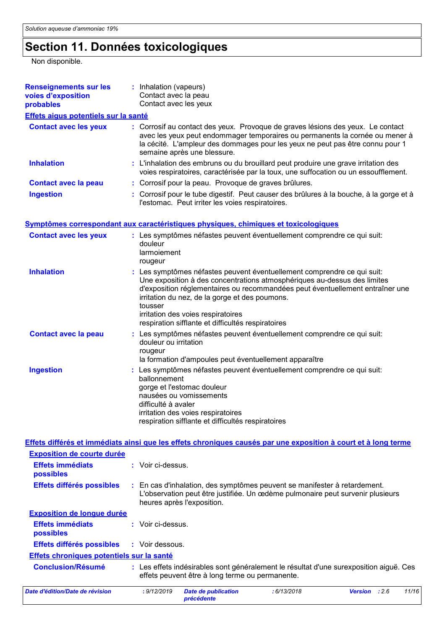## **Section 11. Données toxicologiques**

Non disponible.

| <b>Renseignements sur les</b><br>voies d'exposition | : Inhalation (vapeurs)<br>Contact avec la peau                                                                                                                                                                                                                                                                                                                                                |
|-----------------------------------------------------|-----------------------------------------------------------------------------------------------------------------------------------------------------------------------------------------------------------------------------------------------------------------------------------------------------------------------------------------------------------------------------------------------|
| probables                                           | Contact avec les yeux                                                                                                                                                                                                                                                                                                                                                                         |
| <b>Effets aigus potentiels sur la santé</b>         |                                                                                                                                                                                                                                                                                                                                                                                               |
| <b>Contact avec les yeux</b>                        | : Corrosif au contact des yeux. Provoque de graves lésions des yeux. Le contact<br>avec les yeux peut endommager temporaires ou permanents la cornée ou mener à<br>la cécité. L'ampleur des dommages pour les yeux ne peut pas être connu pour 1<br>semaine après une blessure.                                                                                                               |
| <b>Inhalation</b>                                   | : L'inhalation des embruns ou du brouillard peut produire une grave irritation des<br>voies respiratoires, caractérisée par la toux, une suffocation ou un essoufflement.                                                                                                                                                                                                                     |
| <b>Contact avec la peau</b>                         | : Corrosif pour la peau. Provoque de graves brûlures.                                                                                                                                                                                                                                                                                                                                         |
| <b>Ingestion</b>                                    | : Corrosif pour le tube digestif. Peut causer des brûlures à la bouche, à la gorge et à<br>l'estomac. Peut irriter les voies respiratoires.                                                                                                                                                                                                                                                   |
|                                                     | Symptômes correspondant aux caractéristiques physiques, chimiques et toxicologiques                                                                                                                                                                                                                                                                                                           |
| <b>Contact avec les yeux</b>                        | : Les symptômes néfastes peuvent éventuellement comprendre ce qui suit:<br>douleur<br>larmoiement<br>rougeur                                                                                                                                                                                                                                                                                  |
| <b>Inhalation</b>                                   | : Les symptômes néfastes peuvent éventuellement comprendre ce qui suit:<br>Une exposition à des concentrations atmosphériques au-dessus des limites<br>d'exposition réglementaires ou recommandées peut éventuellement entraîner une<br>irritation du nez, de la gorge et des poumons.<br>tousser<br>irritation des voies respiratoires<br>respiration sifflante et difficultés respiratoires |
| <b>Contact avec la peau</b>                         | : Les symptômes néfastes peuvent éventuellement comprendre ce qui suit:<br>douleur ou irritation<br>rougeur<br>la formation d'ampoules peut éventuellement apparaître                                                                                                                                                                                                                         |
| <b>Ingestion</b>                                    | : Les symptômes néfastes peuvent éventuellement comprendre ce qui suit:<br>ballonnement<br>gorge et l'estomac douleur<br>nausées ou vomissements<br>difficulté à avaler<br>irritation des voies respiratoires<br>respiration sifflante et difficultés respiratoires                                                                                                                           |
|                                                     | Effets différés et immédiats ainsi que les effets chroniques causés par une exposition à court et à long terme                                                                                                                                                                                                                                                                                |
| <b>Exposition de courte durée</b>                   |                                                                                                                                                                                                                                                                                                                                                                                               |
| <b>Effets immédiats</b><br>possibles                | : Voir ci-dessus.                                                                                                                                                                                                                                                                                                                                                                             |
| Effets différés possibles                           | En cas d'inhalation, des symptômes peuvent se manifester à retardement.<br>L'observation peut être justifiée. Un œdème pulmonaire peut survenir plusieurs<br>heures après l'exposition.                                                                                                                                                                                                       |

| <b>Exposition de longue durée</b>         |                   |                                                                                                                                           |            |                      |      |
|-------------------------------------------|-------------------|-------------------------------------------------------------------------------------------------------------------------------------------|------------|----------------------|------|
| <b>Effets immédiats</b><br>possibles      | : Voir ci-dessus. |                                                                                                                                           |            |                      |      |
| Effets différés possibles : Voir dessous. |                   |                                                                                                                                           |            |                      |      |
| Effets chroniques potentiels sur la santé |                   |                                                                                                                                           |            |                      |      |
| <b>Conclusion/Résumé</b>                  |                   | : Les effets indésirables sont généralement le résultat d'une surexposition aiguë. Ces<br>effets peuvent être à long terme ou permanente. |            |                      |      |
| Date d'édition/Date de révision           | : 9/12/2019       | <b>Date de publication</b>                                                                                                                | :6/13/2018 | <b>Version</b> : 2.6 | 11/1 |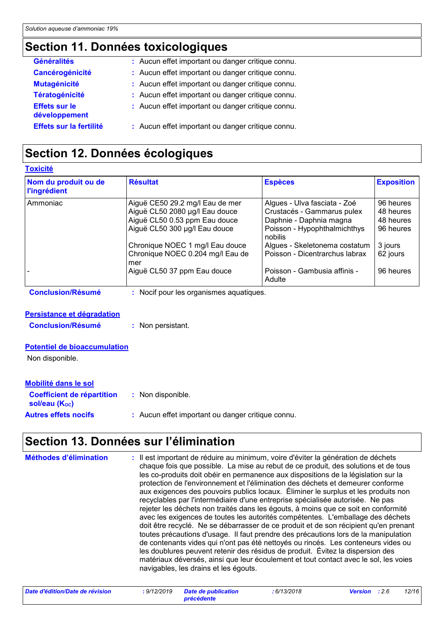## **Section 11. Données toxicologiques**

| <b>Généralités</b>                    | : Aucun effet important ou danger critique connu. |
|---------------------------------------|---------------------------------------------------|
| Cancérogénicité                       | : Aucun effet important ou danger critique connu. |
| <b>Mutagénicité</b>                   | : Aucun effet important ou danger critique connu. |
| <b>Tératogénicité</b>                 | : Aucun effet important ou danger critique connu. |
| <b>Effets sur le</b><br>développement | : Aucun effet important ou danger critique connu. |
| Effets sur la fertilité               | : Aucun effet important ou danger critique connu. |

## **Section 12. Données écologiques**

| <b>Toxicité</b>                             |                                         |                                         |                   |  |
|---------------------------------------------|-----------------------------------------|-----------------------------------------|-------------------|--|
| Nom du produit ou de<br><b>l'ingrédient</b> | <b>Résultat</b>                         | <b>Espèces</b>                          | <b>Exposition</b> |  |
| Ammoniac                                    | Aiguë CE50 29.2 mg/l Eau de mer         | Algues - Ulva fasciata - Zoé            | 96 heures         |  |
|                                             | Aiguë CL50 2080 µg/l Eau douce          | Crustacés - Gammarus pulex              | 48 heures         |  |
|                                             | Aiguë CL50 0.53 ppm Eau douce           | Daphnie - Daphnia magna                 | 48 heures         |  |
|                                             | Aiguë CL50 300 µg/l Eau douce           | Poisson - Hypophthalmichthys<br>nobilis | 96 heures         |  |
|                                             | Chronique NOEC 1 mg/l Eau douce         | Algues - Skeletonema costatum           | 3 jours           |  |
|                                             | Chronique NOEC 0.204 mg/l Eau de<br>mer | Poisson - Dicentrarchus labrax          | 62 jours          |  |
|                                             | Aiguë CL50 37 ppm Eau douce             | Poisson - Gambusia affinis -<br>Adulte  | 96 heures         |  |

**Conclusion/Résumé :** Nocif pour les organismes aquatiques.

### **Persistance et dégradation**

**Conclusion/Résumé :** Non persistant.

### **Potentiel de bioaccumulation**

Non disponible.

| <b>Mobilité dans le sol</b>                 |                                                   |
|---------------------------------------------|---------------------------------------------------|
| Coefficient de répartition<br>sol/eau (Koc) | : Non disponible.                                 |
| <b>Autres effets nocifs</b>                 | : Aucun effet important ou danger critique connu. |

## **Section 13. Données sur l'élimination**

| <b>Méthodes d'élimination</b> | : Il est important de réduire au minimum, voire d'éviter la génération de déchets<br>chaque fois que possible. La mise au rebut de ce produit, des solutions et de tous<br>les co-produits doit obéir en permanence aux dispositions de la législation sur la<br>protection de l'environnement et l'élimination des déchets et demeurer conforme<br>aux exigences des pouvoirs publics locaux. Eliminer le surplus et les produits non<br>recyclables par l'intermédiaire d'une entreprise spécialisée autorisée. Ne pas<br>rejeter les déchets non traités dans les égouts, à moins que ce soit en conformité<br>avec les exigences de toutes les autorités compétentes. L'emballage des déchets<br>doit être recyclé. Ne se débarrasser de ce produit et de son récipient qu'en prenant<br>toutes précautions d'usage. Il faut prendre des précautions lors de la manipulation<br>de contenants vides qui n'ont pas été nettoyés ou rincés. Les conteneurs vides ou<br>les doublures peuvent retenir des résidus de produit. Évitez la dispersion des<br>matériaux déversés, ainsi que leur écoulement et tout contact avec le sol, les voies<br>navigables, les drains et les égouts. |
|-------------------------------|------------------------------------------------------------------------------------------------------------------------------------------------------------------------------------------------------------------------------------------------------------------------------------------------------------------------------------------------------------------------------------------------------------------------------------------------------------------------------------------------------------------------------------------------------------------------------------------------------------------------------------------------------------------------------------------------------------------------------------------------------------------------------------------------------------------------------------------------------------------------------------------------------------------------------------------------------------------------------------------------------------------------------------------------------------------------------------------------------------------------------------------------------------------------------------------|
|-------------------------------|------------------------------------------------------------------------------------------------------------------------------------------------------------------------------------------------------------------------------------------------------------------------------------------------------------------------------------------------------------------------------------------------------------------------------------------------------------------------------------------------------------------------------------------------------------------------------------------------------------------------------------------------------------------------------------------------------------------------------------------------------------------------------------------------------------------------------------------------------------------------------------------------------------------------------------------------------------------------------------------------------------------------------------------------------------------------------------------------------------------------------------------------------------------------------------------|

| Date d'édition/Date de révision | : 9/12/2019 Date de publication | : 6/13/2018 | <b>Version</b> : 2.6 | 12/16 |
|---------------------------------|---------------------------------|-------------|----------------------|-------|
|                                 | précédente                      |             |                      |       |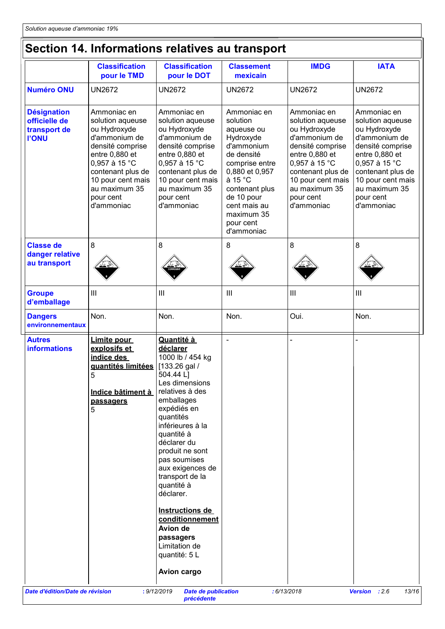|                                                                     | Section 14. Informations relatives au transport                                                                                                                                                               |                                                                                                                                                                                                                                                                                                                                                                                                                                      |                                                                                                                                                                                                                        |                                                                                                                                                                                                               |                                                                                                                                                                                                               |
|---------------------------------------------------------------------|---------------------------------------------------------------------------------------------------------------------------------------------------------------------------------------------------------------|--------------------------------------------------------------------------------------------------------------------------------------------------------------------------------------------------------------------------------------------------------------------------------------------------------------------------------------------------------------------------------------------------------------------------------------|------------------------------------------------------------------------------------------------------------------------------------------------------------------------------------------------------------------------|---------------------------------------------------------------------------------------------------------------------------------------------------------------------------------------------------------------|---------------------------------------------------------------------------------------------------------------------------------------------------------------------------------------------------------------|
|                                                                     | <b>Classification</b><br>pour le TMD                                                                                                                                                                          | <b>Classification</b><br>pour le DOT                                                                                                                                                                                                                                                                                                                                                                                                 | <b>Classement</b><br>mexicain                                                                                                                                                                                          | <b>IMDG</b>                                                                                                                                                                                                   | <b>IATA</b>                                                                                                                                                                                                   |
| <b>Numéro ONU</b>                                                   | <b>UN2672</b>                                                                                                                                                                                                 | <b>UN2672</b>                                                                                                                                                                                                                                                                                                                                                                                                                        | <b>UN2672</b>                                                                                                                                                                                                          | <b>UN2672</b>                                                                                                                                                                                                 | <b>UN2672</b>                                                                                                                                                                                                 |
| <b>Désignation</b><br>officielle de<br>transport de<br><b>I'ONU</b> | Ammoniac en<br>solution aqueuse<br>ou Hydroxyde<br>d'ammonium de<br>densité comprise<br>entre 0,880 et<br>0,957 à 15 °C<br>contenant plus de<br>10 pour cent mais<br>au maximum 35<br>pour cent<br>d'ammoniac | Ammoniac en<br>solution aqueuse<br>ou Hydroxyde<br>d'ammonium de<br>densité comprise<br>entre 0,880 et<br>0,957 à 15 °C<br>contenant plus de<br>10 pour cent mais<br>au maximum 35<br>pour cent<br>d'ammoniac                                                                                                                                                                                                                        | Ammoniac en<br>solution<br>aqueuse ou<br>Hydroxyde<br>d'ammonium<br>de densité<br>comprise entre<br>0,880 et 0,957<br>à 15 °C<br>contenant plus<br>de 10 pour<br>cent mais au<br>maximum 35<br>pour cent<br>d'ammoniac | Ammoniac en<br>solution aqueuse<br>ou Hydroxyde<br>d'ammonium de<br>densité comprise<br>entre 0,880 et<br>0,957 à 15 °C<br>contenant plus de<br>10 pour cent mais<br>au maximum 35<br>pour cent<br>d'ammoniac | Ammoniac en<br>solution aqueuse<br>ou Hydroxyde<br>d'ammonium de<br>densité comprise<br>entre 0,880 et<br>0,957 à 15 °C<br>contenant plus de<br>10 pour cent mais<br>au maximum 35<br>pour cent<br>d'ammoniac |
| <b>Classe de</b><br>danger relative<br>au transport                 | 8                                                                                                                                                                                                             | 8                                                                                                                                                                                                                                                                                                                                                                                                                                    | 8                                                                                                                                                                                                                      | 8                                                                                                                                                                                                             | 8                                                                                                                                                                                                             |
| <b>Groupe</b><br>d'emballage                                        | $\mathbf{III}$                                                                                                                                                                                                | III                                                                                                                                                                                                                                                                                                                                                                                                                                  | $\mathbf{III}$                                                                                                                                                                                                         | $\mathbf{III}$                                                                                                                                                                                                | $\mathbf{III}$                                                                                                                                                                                                |
| <b>Dangers</b><br>environnementaux                                  | Non.                                                                                                                                                                                                          | Non.                                                                                                                                                                                                                                                                                                                                                                                                                                 | Non.                                                                                                                                                                                                                   | Oui.                                                                                                                                                                                                          | Non.                                                                                                                                                                                                          |
| <b>Autres</b><br><b>informations</b>                                | Limite pour<br>explosifs et<br>indice des<br>quantités limitées<br>5<br>Indice bâtiment à<br><b>passagers</b><br>5                                                                                            | Quantité à<br>déclarer<br>1000 lb / 454 kg<br>[133.26 gal /<br>504.44 L]<br>Les dimensions<br>relatives à des<br>emballages<br>expédiés en<br>quantités<br>inférieures à la<br>quantité à<br>déclarer du<br>produit ne sont<br>pas soumises<br>aux exigences de<br>transport de la<br>quantité à<br>déclarer.<br>Instructions de<br>conditionnement<br><b>Avion de</b><br>passagers<br>Limitation de<br>quantité: 5 L<br>Avion cargo |                                                                                                                                                                                                                        |                                                                                                                                                                                                               |                                                                                                                                                                                                               |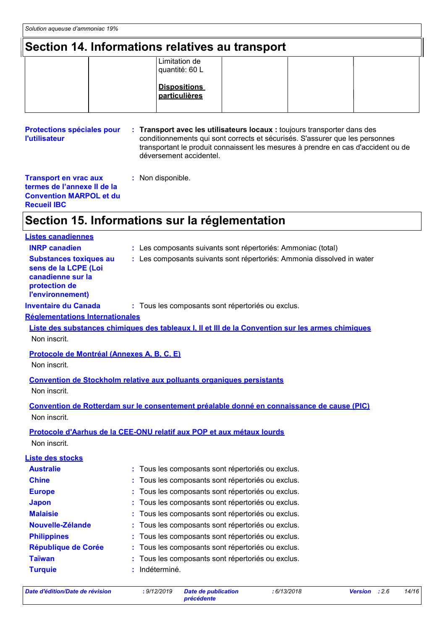## **Section 14. Informations relatives au transport**

| Limitation de<br>quantité: 60 L      |  |
|--------------------------------------|--|
| <b>Dispositions</b><br>particulières |  |

#### **Protections spéciales pour l'utilisateur Transport avec les utilisateurs locaux :** toujours transporter dans des **:** conditionnements qui sont corrects et sécurisés. S'assurer que les personnes transportant le produit connaissent les mesures à prendre en cas d'accident ou de déversement accidentel.

#### **Transport en vrac aux termes de l'annexe II de la Convention MARPOL et du Recueil IBC :** Non disponible.

## **Section 15. Informations sur la réglementation**

| <b>Listes canadiennes</b>                                                                                       |                                                                                                   |
|-----------------------------------------------------------------------------------------------------------------|---------------------------------------------------------------------------------------------------|
| <b>INRP canadien</b>                                                                                            | : Les composants suivants sont répertoriés: Ammoniac (total)                                      |
| <b>Substances toxiques au</b><br>sens de la LCPE (Loi<br>canadienne sur la<br>protection de<br>l'environnement) | : Les composants suivants sont répertoriés: Ammonia dissolved in water                            |
| <b>Inventaire du Canada</b>                                                                                     | : Tous les composants sont répertoriés ou exclus.                                                 |
| <b>Réglementations Internationales</b>                                                                          |                                                                                                   |
|                                                                                                                 | Liste des substances chimiques des tableaux I, II et III de la Convention sur les armes chimiques |
| Non inscrit.                                                                                                    |                                                                                                   |
| Protocole de Montréal (Annexes A, B, C, E)<br>Non inscrit.                                                      |                                                                                                   |
| Non inscrit.                                                                                                    | <b>Convention de Stockholm relative aux polluants organiques persistants</b>                      |
| Non inscrit.                                                                                                    | Convention de Rotterdam sur le consentement préalable donné en connaissance de cause (PIC)        |
| Non inscrit.                                                                                                    | Protocole d'Aarhus de la CEE-ONU relatif aux POP et aux métaux lourds                             |
| <b>Liste des stocks</b>                                                                                         |                                                                                                   |
| <b>Australie</b>                                                                                                | : Tous les composants sont répertoriés ou exclus.                                                 |
| <b>Chine</b>                                                                                                    | Tous les composants sont répertoriés ou exclus.                                                   |
| <b>Europe</b>                                                                                                   | Tous les composants sont répertoriés ou exclus.                                                   |
| <b>Japon</b>                                                                                                    | Tous les composants sont répertoriés ou exclus.                                                   |
| <b>Malaisie</b>                                                                                                 | Tous les composants sont répertoriés ou exclus.                                                   |
| Nouvelle-Zélande                                                                                                | Tous les composants sont répertoriés ou exclus.                                                   |
| <b>Philippines</b>                                                                                              | Tous les composants sont répertoriés ou exclus.                                                   |
| République de Corée                                                                                             | Tous les composants sont répertoriés ou exclus.                                                   |
| <b>Taïwan</b>                                                                                                   | Tous les composants sont répertoriés ou exclus.                                                   |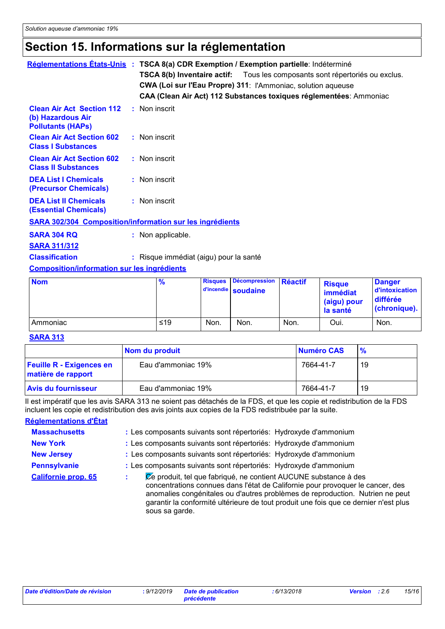## **Section 15. Informations sur la réglementation**

|                                                                                   | Réglementations États-Unis : TSCA 8(a) CDR Exemption / Exemption partielle: Indéterminé<br>TSCA 8(b) Inventaire actif: Tous les composants sont répertoriés ou exclus.<br>CWA (Loi sur l'Eau Propre) 311: l'Ammoniac, solution aqueuse<br>CAA (Clean Air Act) 112 Substances toxiques réglementées: Ammoniac |
|-----------------------------------------------------------------------------------|--------------------------------------------------------------------------------------------------------------------------------------------------------------------------------------------------------------------------------------------------------------------------------------------------------------|
| <b>Clean Air Act Section 112</b><br>(b) Hazardous Air<br><b>Pollutants (HAPS)</b> | : Non inscrit                                                                                                                                                                                                                                                                                                |
| <b>Clean Air Act Section 602</b><br><b>Class I Substances</b>                     | $:$ Non inscrit                                                                                                                                                                                                                                                                                              |
| <b>Clean Air Act Section 602</b><br><b>Class II Substances</b>                    | : Non inscrit                                                                                                                                                                                                                                                                                                |
| <b>DEA List I Chemicals</b><br><b>(Precursor Chemicals)</b>                       | : Non inscrit                                                                                                                                                                                                                                                                                                |
| <b>DEA List II Chemicals</b><br><b>(Essential Chemicals)</b>                      | : Non inscrit                                                                                                                                                                                                                                                                                                |
|                                                                                   | <b>SARA 302/304 Composition/information sur les ingrédients</b>                                                                                                                                                                                                                                              |
| <b>SARA 304 RQ</b>                                                                | : Non applicable.                                                                                                                                                                                                                                                                                            |
| <b>SARA 311/312</b>                                                               |                                                                                                                                                                                                                                                                                                              |
| <b>Classification</b>                                                             | : Risque immédiat (aigu) pour la santé                                                                                                                                                                                                                                                                       |
| <b>Composition/information sur les ingrédients</b>                                |                                                                                                                                                                                                                                                                                                              |

| <b>Nom</b> | $\frac{9}{6}$ | <b>Risques</b> | Décompression Réactif<br>d'incendie soudaine |      | <b>Risque</b><br>immédiat<br>(aigu) pour<br>la santé | <b>Danger</b><br>d'intoxication<br>différée<br>(chronique). |
|------------|---------------|----------------|----------------------------------------------|------|------------------------------------------------------|-------------------------------------------------------------|
| Ammoniac   | ≤19           | Non.           | Non.                                         | Non. | Oui.                                                 | Non.                                                        |

#### **SARA 313**

|                                                       | Nom du produit     | Numéro CAS | $\frac{9}{6}$ |
|-------------------------------------------------------|--------------------|------------|---------------|
| <b>Feuille R - Exigences en</b><br>matière de rapport | Eau d'ammoniac 19% | 7664-41-7  | 19            |
| <b>Avis du fournisseur</b>                            | Eau d'ammoniac 19% | 7664-41-7  | -19           |

Il est impératif que les avis SARA 313 ne soient pas détachés de la FDS, et que les copie et redistribution de la FDS incluent les copie et redistribution des avis joints aux copies de la FDS redistribuée par la suite.

**Réglementations d'État**

| <b>Massachusetts</b>       | : Les composants suivants sont répertoriés: Hydroxyde d'ammonium                                                                                                                                                                                                                                                            |
|----------------------------|-----------------------------------------------------------------------------------------------------------------------------------------------------------------------------------------------------------------------------------------------------------------------------------------------------------------------------|
| <b>New York</b>            | : Les composants suivants sont répertoriés: Hydroxyde d'ammonium                                                                                                                                                                                                                                                            |
| <b>New Jersey</b>          | : Les composants suivants sont répertoriés: Hydroxyde d'ammonium                                                                                                                                                                                                                                                            |
| <b>Pennsylvanie</b>        | : Les composants suivants sont répertoriés: Hydroxyde d'ammonium                                                                                                                                                                                                                                                            |
| <b>Californie prop. 65</b> | Ce produit, tel que fabriqué, ne contient AUCUNE substance à des<br>concentrations connues dans l'état de Californie pour provoquer le cancer, des<br>anomalies congénitales ou d'autres problèmes de reproduction. Nutrien ne peut<br>garantir la conformité ultérieure de tout produit une fois que ce dernier n'est plus |

sous sa garde.